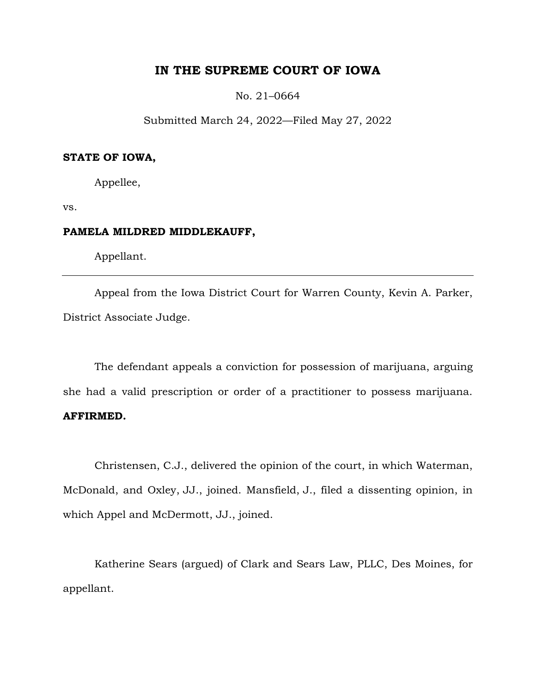# **IN THE SUPREME COURT OF IOWA**

No. 21–0664

Submitted March 24, 2022—Filed May 27, 2022

### **STATE OF IOWA,**

Appellee,

vs.

## **PAMELA MILDRED MIDDLEKAUFF,**

Appellant.

Appeal from the Iowa District Court for Warren County, Kevin A. Parker, District Associate Judge.

The defendant appeals a conviction for possession of marijuana, arguing she had a valid prescription or order of a practitioner to possess marijuana. **AFFIRMED.**

Christensen, C.J., delivered the opinion of the court, in which Waterman, McDonald, and Oxley, JJ., joined. Mansfield, J., filed a dissenting opinion, in which Appel and McDermott, JJ., joined.

Katherine Sears (argued) of Clark and Sears Law, PLLC, Des Moines, for appellant.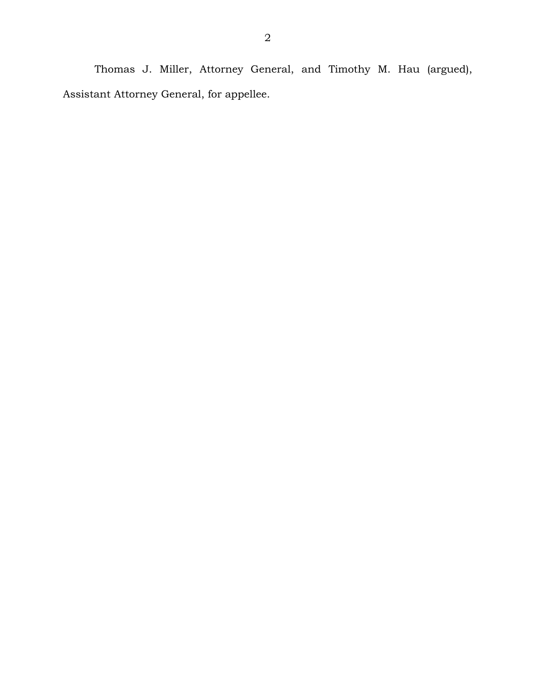Thomas J. Miller, Attorney General, and Timothy M. Hau (argued), Assistant Attorney General, for appellee.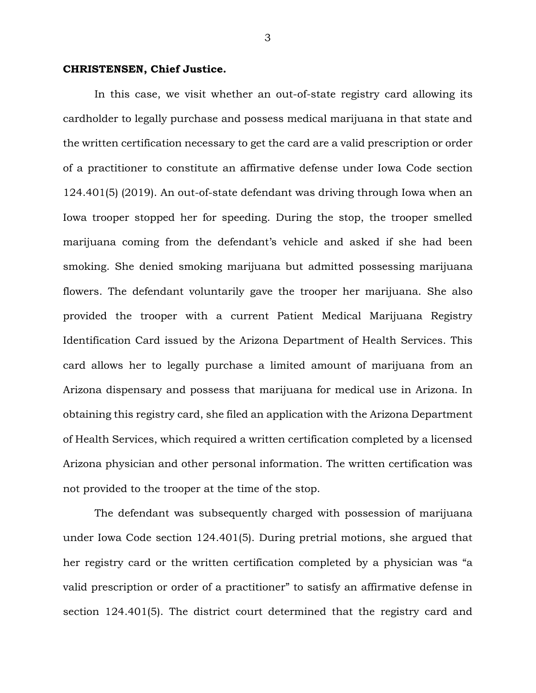#### **CHRISTENSEN, Chief Justice.**

In this case, we visit whether an out-of-state registry card allowing its cardholder to legally purchase and possess medical marijuana in that state and the written certification necessary to get the card are a valid prescription or order of a practitioner to constitute an affirmative defense under Iowa Code section 124.401(5) (2019). An out-of-state defendant was driving through Iowa when an Iowa trooper stopped her for speeding. During the stop, the trooper smelled marijuana coming from the defendant's vehicle and asked if she had been smoking. She denied smoking marijuana but admitted possessing marijuana flowers. The defendant voluntarily gave the trooper her marijuana. She also provided the trooper with a current Patient Medical Marijuana Registry Identification Card issued by the Arizona Department of Health Services. This card allows her to legally purchase a limited amount of marijuana from an Arizona dispensary and possess that marijuana for medical use in Arizona. In obtaining this registry card, she filed an application with the Arizona Department of Health Services, which required a written certification completed by a licensed Arizona physician and other personal information. The written certification was not provided to the trooper at the time of the stop.

The defendant was subsequently charged with possession of marijuana under Iowa Code section 124.401(5). During pretrial motions, she argued that her registry card or the written certification completed by a physician was "a valid prescription or order of a practitioner" to satisfy an affirmative defense in section 124.401(5). The district court determined that the registry card and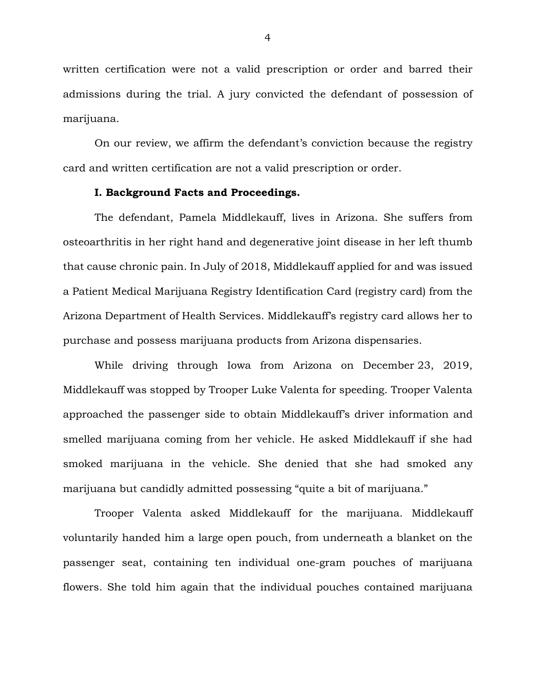written certification were not a valid prescription or order and barred their admissions during the trial. A jury convicted the defendant of possession of marijuana.

On our review, we affirm the defendant's conviction because the registry card and written certification are not a valid prescription or order.

# **I. Background Facts and Proceedings.**

The defendant, Pamela Middlekauff, lives in Arizona. She suffers from osteoarthritis in her right hand and degenerative joint disease in her left thumb that cause chronic pain. In July of 2018, Middlekauff applied for and was issued a Patient Medical Marijuana Registry Identification Card (registry card) from the Arizona Department of Health Services. Middlekauff's registry card allows her to purchase and possess marijuana products from Arizona dispensaries.

While driving through Iowa from Arizona on December 23, 2019, Middlekauff was stopped by Trooper Luke Valenta for speeding. Trooper Valenta approached the passenger side to obtain Middlekauff's driver information and smelled marijuana coming from her vehicle. He asked Middlekauff if she had smoked marijuana in the vehicle. She denied that she had smoked any marijuana but candidly admitted possessing "quite a bit of marijuana."

Trooper Valenta asked Middlekauff for the marijuana. Middlekauff voluntarily handed him a large open pouch, from underneath a blanket on the passenger seat, containing ten individual one-gram pouches of marijuana flowers. She told him again that the individual pouches contained marijuana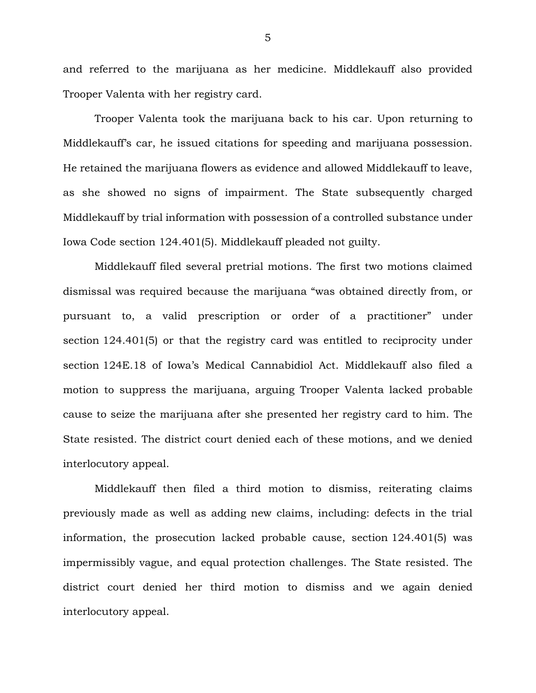and referred to the marijuana as her medicine. Middlekauff also provided Trooper Valenta with her registry card.

Trooper Valenta took the marijuana back to his car. Upon returning to Middlekauff's car, he issued citations for speeding and marijuana possession. He retained the marijuana flowers as evidence and allowed Middlekauff to leave, as she showed no signs of impairment. The State subsequently charged Middlekauff by trial information with possession of a controlled substance under Iowa Code section 124.401(5). Middlekauff pleaded not guilty.

Middlekauff filed several pretrial motions. The first two motions claimed dismissal was required because the marijuana "was obtained directly from, or pursuant to, a valid prescription or order of a practitioner" under section 124.401(5) or that the registry card was entitled to reciprocity under section 124E.18 of Iowa's Medical Cannabidiol Act. Middlekauff also filed a motion to suppress the marijuana, arguing Trooper Valenta lacked probable cause to seize the marijuana after she presented her registry card to him. The State resisted. The district court denied each of these motions, and we denied interlocutory appeal.

Middlekauff then filed a third motion to dismiss, reiterating claims previously made as well as adding new claims, including: defects in the trial information, the prosecution lacked probable cause, section 124.401(5) was impermissibly vague, and equal protection challenges. The State resisted. The district court denied her third motion to dismiss and we again denied interlocutory appeal.

5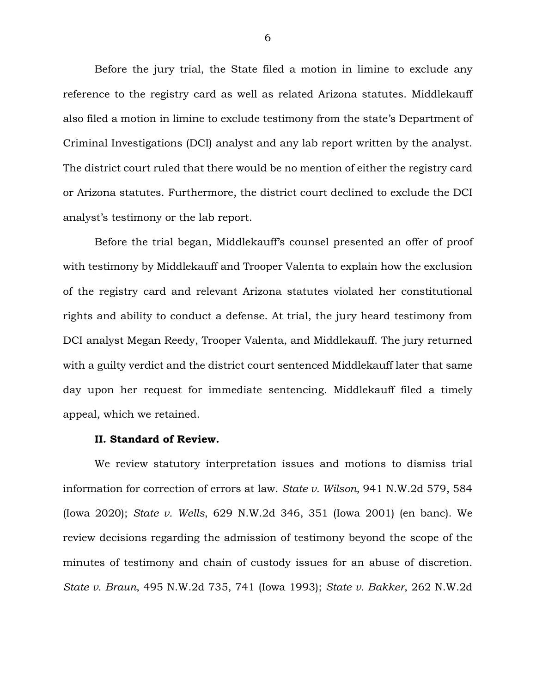Before the jury trial, the State filed a motion in limine to exclude any reference to the registry card as well as related Arizona statutes. Middlekauff also filed a motion in limine to exclude testimony from the state's Department of Criminal Investigations (DCI) analyst and any lab report written by the analyst. The district court ruled that there would be no mention of either the registry card or Arizona statutes. Furthermore, the district court declined to exclude the DCI analyst's testimony or the lab report.

Before the trial began, Middlekauff's counsel presented an offer of proof with testimony by Middlekauff and Trooper Valenta to explain how the exclusion of the registry card and relevant Arizona statutes violated her constitutional rights and ability to conduct a defense. At trial, the jury heard testimony from DCI analyst Megan Reedy, Trooper Valenta, and Middlekauff. The jury returned with a guilty verdict and the district court sentenced Middlekauff later that same day upon her request for immediate sentencing. Middlekauff filed a timely appeal, which we retained.

#### **II. Standard of Review.**

We review statutory interpretation issues and motions to dismiss trial information for correction of errors at law. *State v. Wilson*, 941 N.W.2d 579, 584 (Iowa 2020); *State v. Wells*, 629 N.W.2d 346, 351 (Iowa 2001) (en banc). We review decisions regarding the admission of testimony beyond the scope of the minutes of testimony and chain of custody issues for an abuse of discretion. *State v. Braun*, 495 N.W.2d 735, 741 (Iowa 1993); *State v. Bakker*, 262 N.W.2d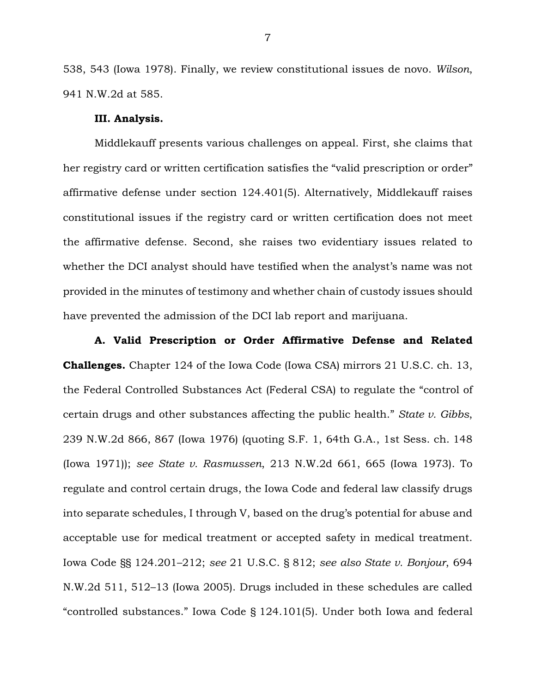538, 543 (Iowa 1978). Finally, we review constitutional issues de novo. *Wilson*, 941 N.W.2d at 585.

#### **III. Analysis.**

Middlekauff presents various challenges on appeal. First, she claims that her registry card or written certification satisfies the "valid prescription or order" affirmative defense under section 124.401(5). Alternatively, Middlekauff raises constitutional issues if the registry card or written certification does not meet the affirmative defense. Second, she raises two evidentiary issues related to whether the DCI analyst should have testified when the analyst's name was not provided in the minutes of testimony and whether chain of custody issues should have prevented the admission of the DCI lab report and marijuana.

**A. Valid Prescription or Order Affirmative Defense and Related Challenges.** Chapter 124 of the Iowa Code (Iowa CSA) mirrors 21 U.S.C. ch. 13, the Federal Controlled Substances Act (Federal CSA) to regulate the "control of certain drugs and other substances affecting the public health." *State v. Gibbs*, 239 N.W.2d 866, 867 (Iowa 1976) (quoting S.F. 1, 64th G.A., 1st Sess. ch. 148 (Iowa 1971)); *see State v. Rasmussen*, 213 N.W.2d 661, 665 (Iowa 1973). To regulate and control certain drugs, the Iowa Code and federal law classify drugs into separate schedules, I through V, based on the drug's potential for abuse and acceptable use for medical treatment or accepted safety in medical treatment. Iowa Code §§ 124.201–212; *see* 21 U.S.C. § 812; *see also State v. Bonjour*, 694 N.W.2d 511, 512–13 (Iowa 2005). Drugs included in these schedules are called "controlled substances." Iowa Code § 124.101(5). Under both Iowa and federal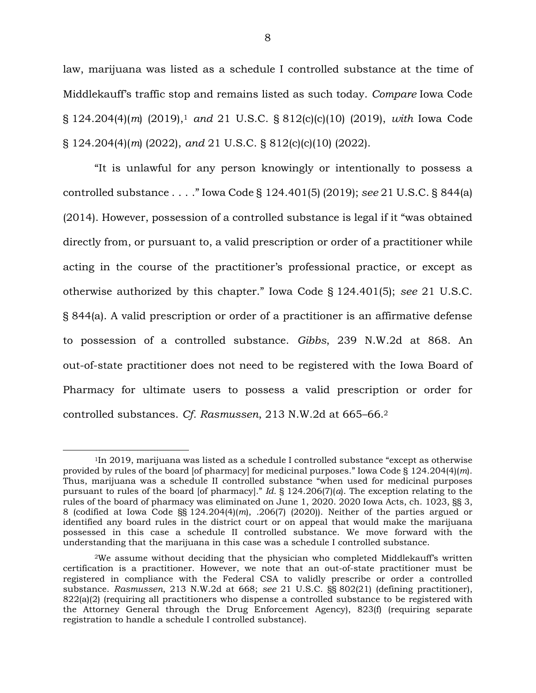law, marijuana was listed as a schedule I controlled substance at the time of Middlekauff's traffic stop and remains listed as such today. *Compare* Iowa Code § 124.204(4)(*m*) (2019),<sup>1</sup> *and* 21 U.S.C. § 812(c)(c)(10) (2019), *with* Iowa Code § 124.204(4)(*m*) (2022), *and* 21 U.S.C. § 812(c)(c)(10) (2022).

"It is unlawful for any person knowingly or intentionally to possess a controlled substance . . . ." Iowa Code § 124.401(5) (2019); *see* 21 U.S.C. § 844(a) (2014). However, possession of a controlled substance is legal if it "was obtained directly from, or pursuant to, a valid prescription or order of a practitioner while acting in the course of the practitioner's professional practice, or except as otherwise authorized by this chapter." Iowa Code § 124.401(5); *see* 21 U.S.C. § 844(a). A valid prescription or order of a practitioner is an affirmative defense to possession of a controlled substance. *Gibbs*, 239 N.W.2d at 868. An out-of-state practitioner does not need to be registered with the Iowa Board of Pharmacy for ultimate users to possess a valid prescription or order for controlled substances. *Cf. Rasmussen*, 213 N.W.2d at 665–66.<sup>2</sup>

 $\overline{a}$ 

<sup>&</sup>lt;sup>1</sup>In 2019, marijuana was listed as a schedule I controlled substance "except as otherwise" provided by rules of the board [of pharmacy] for medicinal purposes." Iowa Code § 124.204(4)(*m*). Thus, marijuana was a schedule II controlled substance "when used for medicinal purposes pursuant to rules of the board [of pharmacy]." *Id.* § 124.206(7)(*a*). The exception relating to the rules of the board of pharmacy was eliminated on June 1, 2020. 2020 Iowa Acts, ch. 1023, §§ 3, 8 (codified at Iowa Code §§ 124.204(4)(*m*), .206(7) (2020)). Neither of the parties argued or identified any board rules in the district court or on appeal that would make the marijuana possessed in this case a schedule II controlled substance. We move forward with the understanding that the marijuana in this case was a schedule I controlled substance.

<sup>2</sup>We assume without deciding that the physician who completed Middlekauff's written certification is a practitioner. However, we note that an out-of-state practitioner must be registered in compliance with the Federal CSA to validly prescribe or order a controlled substance. *Rasmussen*, 213 N.W.2d at 668; *see* 21 U.S.C. §§ 802(21) (defining practitioner), 822(a)(2) (requiring all practitioners who dispense a controlled substance to be registered with the Attorney General through the Drug Enforcement Agency), 823(f) (requiring separate registration to handle a schedule I controlled substance).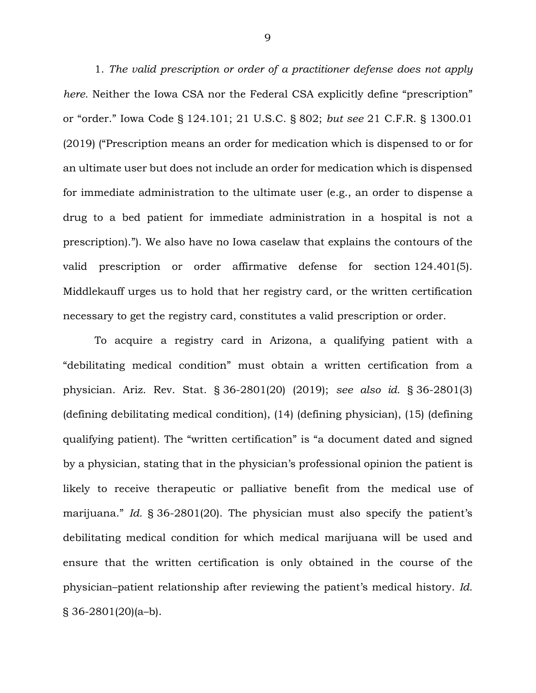1. *The valid prescription or order of a practitioner defense does not apply here.* Neither the Iowa CSA nor the Federal CSA explicitly define "prescription" or "order." Iowa Code § 124.101; 21 U.S.C. § 802; *but see* 21 C.F.R. § 1300.01 (2019) ("Prescription means an order for medication which is dispensed to or for an ultimate user but does not include an order for medication which is dispensed for immediate administration to the ultimate user (e.g., an order to dispense a drug to a bed patient for immediate administration in a hospital is not a prescription)."). We also have no Iowa caselaw that explains the contours of the valid prescription or order affirmative defense for section 124.401(5). Middlekauff urges us to hold that her registry card, or the written certification necessary to get the registry card, constitutes a valid prescription or order.

To acquire a registry card in Arizona, a qualifying patient with a "debilitating medical condition" must obtain a written certification from a physician. Ariz. Rev. Stat. § 36-2801(20) (2019); *see also id.* § 36-2801(3) (defining debilitating medical condition), (14) (defining physician), (15) (defining qualifying patient). The "written certification" is "a document dated and signed by a physician, stating that in the physician's professional opinion the patient is likely to receive therapeutic or palliative benefit from the medical use of marijuana." *Id.* § 36-2801(20). The physician must also specify the patient's debilitating medical condition for which medical marijuana will be used and ensure that the written certification is only obtained in the course of the physician–patient relationship after reviewing the patient's medical history. *Id.*  $\S 36 - 2801(20)$ (a-b).

9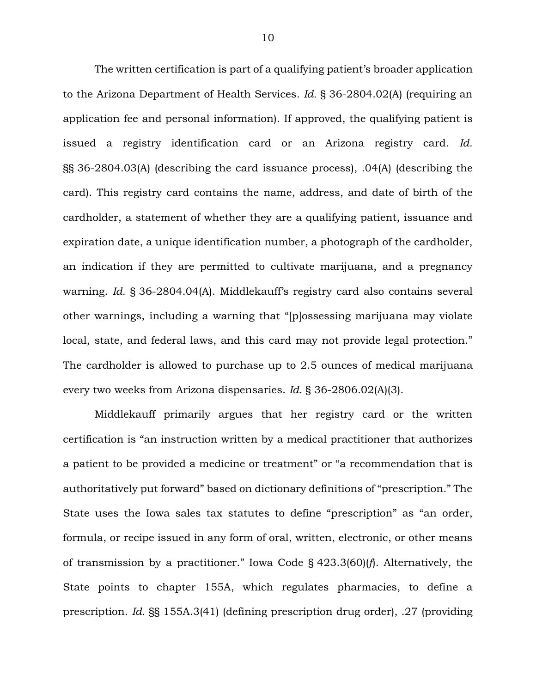The written certification is part of a qualifying patient's broader application to the Arizona Department of Health Services. *Id.* § 36-2804.02(A) (requiring an application fee and personal information). If approved, the qualifying patient is issued a registry identification card or an Arizona registry card. *Id.* §§ 36-2804.03(A) (describing the card issuance process), .04(A) (describing the card). This registry card contains the name, address, and date of birth of the cardholder, a statement of whether they are a qualifying patient, issuance and expiration date, a unique identification number, a photograph of the cardholder, an indication if they are permitted to cultivate marijuana, and a pregnancy warning. *Id.* § 36-2804.04(A). Middlekauff's registry card also contains several other warnings, including a warning that "[p]ossessing marijuana may violate local, state, and federal laws, and this card may not provide legal protection." The cardholder is allowed to purchase up to 2.5 ounces of medical marijuana every two weeks from Arizona dispensaries. *Id.* § 36-2806.02(A)(3).

Middlekauff primarily argues that her registry card or the written certification is "an instruction written by a medical practitioner that authorizes a patient to be provided a medicine or treatment" or "a recommendation that is authoritatively put forward" based on dictionary definitions of "prescription." The State uses the Iowa sales tax statutes to define "prescription" as "an order, formula, or recipe issued in any form of oral, written, electronic, or other means of transmission by a practitioner." Iowa Code § 423.3(60)(*f*). Alternatively, the State points to chapter 155A, which regulates pharmacies, to define a prescription. *Id.* §§ 155A.3(41) (defining prescription drug order), .27 (providing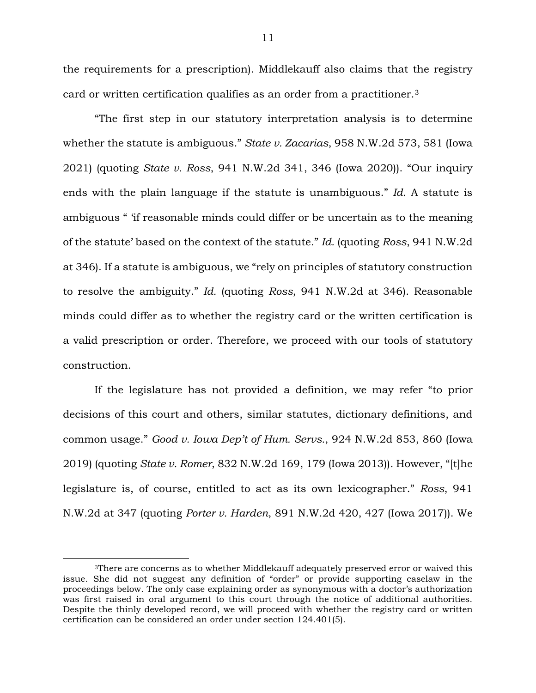the requirements for a prescription). Middlekauff also claims that the registry card or written certification qualifies as an order from a practitioner.<sup>3</sup>

"The first step in our statutory interpretation analysis is to determine whether the statute is ambiguous." *State v. Zacarias*, 958 N.W.2d 573, 581 (Iowa 2021) (quoting *State v. Ross*, 941 N.W.2d 341, 346 (Iowa 2020)). "Our inquiry ends with the plain language if the statute is unambiguous." *Id.* A statute is ambiguous " 'if reasonable minds could differ or be uncertain as to the meaning of the statute' based on the context of the statute." *Id.* (quoting *Ross*, 941 N.W.2d at 346). If a statute is ambiguous, we "rely on principles of statutory construction to resolve the ambiguity." *Id.* (quoting *Ross*, 941 N.W.2d at 346). Reasonable minds could differ as to whether the registry card or the written certification is a valid prescription or order. Therefore, we proceed with our tools of statutory construction.

If the legislature has not provided a definition, we may refer "to prior decisions of this court and others, similar statutes, dictionary definitions, and common usage." *Good v. Iowa Dep't of Hum. Servs.*, 924 N.W.2d 853, 860 (Iowa 2019) (quoting *State v. Romer*, 832 N.W.2d 169, 179 (Iowa 2013)). However, "[t]he legislature is, of course, entitled to act as its own lexicographer." *Ross*, 941 N.W.2d at 347 (quoting *Porter v. Harden*, 891 N.W.2d 420, 427 (Iowa 2017)). We

 $\overline{a}$ 

<sup>&</sup>lt;sup>3</sup>There are concerns as to whether Middlekauff adequately preserved error or waived this issue. She did not suggest any definition of "order" or provide supporting caselaw in the proceedings below. The only case explaining order as synonymous with a doctor's authorization was first raised in oral argument to this court through the notice of additional authorities. Despite the thinly developed record, we will proceed with whether the registry card or written certification can be considered an order under section 124.401(5).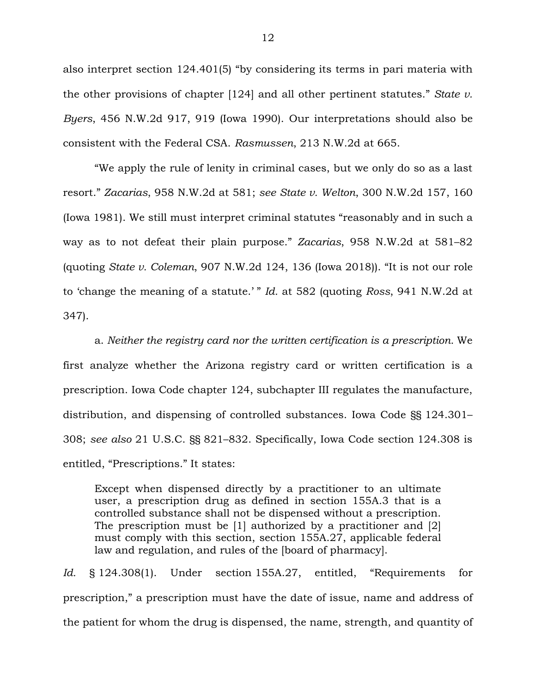also interpret section 124.401(5) "by considering its terms in pari materia with the other provisions of chapter [124] and all other pertinent statutes." *State v. Byers*, 456 N.W.2d 917, 919 (Iowa 1990). Our interpretations should also be consistent with the Federal CSA. *Rasmussen*, 213 N.W.2d at 665.

"We apply the rule of lenity in criminal cases, but we only do so as a last resort." *Zacarias*, 958 N.W.2d at 581; *see State v. Welton*, 300 N.W.2d 157, 160 (Iowa 1981). We still must interpret criminal statutes "reasonably and in such a way as to not defeat their plain purpose." *Zacarias*, 958 N.W.2d at 581–82 (quoting *State v. Coleman*, 907 N.W.2d 124, 136 (Iowa 2018)). "It is not our role to 'change the meaning of a statute.' " *Id.* at 582 (quoting *Ross*, 941 N.W.2d at 347).

a. *Neither the registry card nor the written certification is a prescription.* We first analyze whether the Arizona registry card or written certification is a prescription. Iowa Code chapter 124, subchapter III regulates the manufacture, distribution, and dispensing of controlled substances. Iowa Code §§ 124.301– 308; *see also* 21 U.S.C. §§ 821–832. Specifically, Iowa Code section 124.308 is entitled, "Prescriptions." It states:

Except when dispensed directly by a practitioner to an ultimate user, a prescription drug as defined in section 155A.3 that is a controlled substance shall not be dispensed without a prescription. The prescription must be [1] authorized by a practitioner and [2] must comply with this section, section 155A.27, applicable federal law and regulation, and rules of the [board of pharmacy].

*Id.* § 124.308(1). Under section 155A.27, entitled, "Requirements for prescription," a prescription must have the date of issue, name and address of the patient for whom the drug is dispensed, the name, strength, and quantity of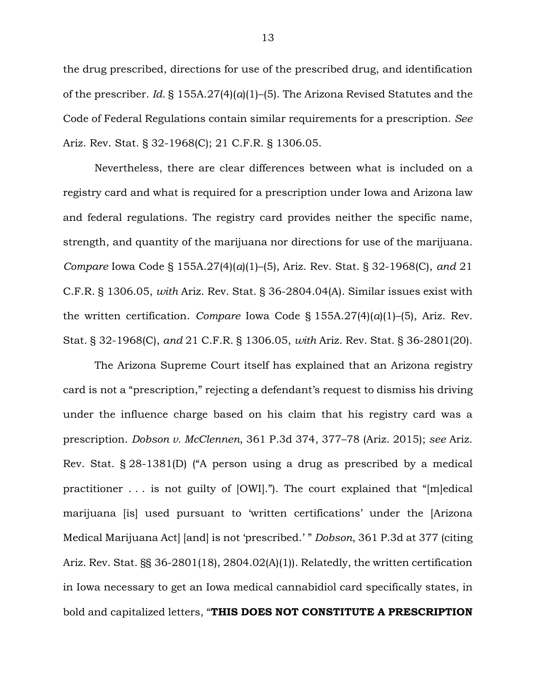the drug prescribed, directions for use of the prescribed drug, and identification of the prescriber. *Id.* § 155A.27(4)(*a*)(1)–(5). The Arizona Revised Statutes and the Code of Federal Regulations contain similar requirements for a prescription. *See*  Ariz. Rev. Stat. § 32-1968(C); 21 C.F.R. § 1306.05.

Nevertheless, there are clear differences between what is included on a registry card and what is required for a prescription under Iowa and Arizona law and federal regulations. The registry card provides neither the specific name, strength, and quantity of the marijuana nor directions for use of the marijuana. *Compare* Iowa Code § 155A.27(4)(*a*)(1)–(5), Ariz. Rev. Stat. § 32-1968(C), *and* 21 C.F.R. § 1306.05, *with* Ariz. Rev. Stat. § 36-2804.04(A). Similar issues exist with the written certification. *Compare* Iowa Code § 155A.27(4)(*a*)(1)–(5), Ariz. Rev. Stat. § 32-1968(C), *and* 21 C.F.R. § 1306.05, *with* Ariz. Rev. Stat. § 36-2801(20).

The Arizona Supreme Court itself has explained that an Arizona registry card is not a "prescription," rejecting a defendant's request to dismiss his driving under the influence charge based on his claim that his registry card was a prescription. *Dobson v. McClennen*, 361 P.3d 374, 377–78 (Ariz. 2015); *see* Ariz. Rev. Stat. § 28-1381(D) ("A person using a drug as prescribed by a medical practitioner . . . is not guilty of [OWI]."). The court explained that "[m]edical marijuana [is] used pursuant to 'written certifications' under the [Arizona Medical Marijuana Act] [and] is not 'prescribed.' " *Dobson*, 361 P.3d at 377 (citing Ariz. Rev. Stat. §§ 36-2801(18), 2804.02(A)(1)). Relatedly, the written certification in Iowa necessary to get an Iowa medical cannabidiol card specifically states, in bold and capitalized letters, "**THIS DOES NOT CONSTITUTE A PRESCRIPTION**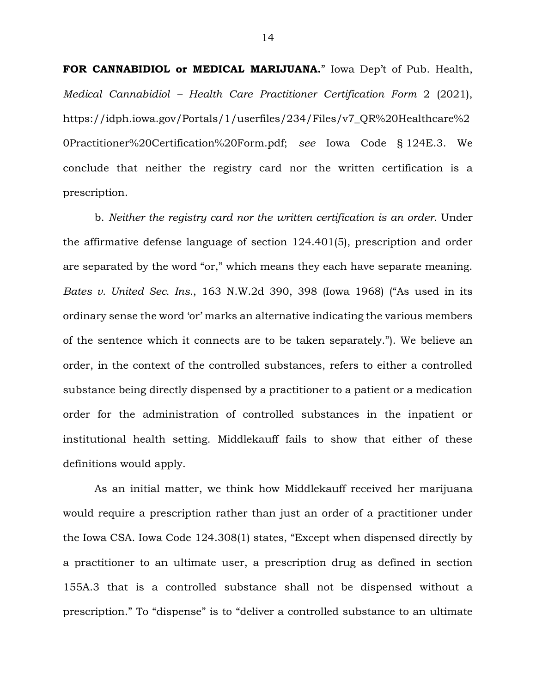**FOR CANNABIDIOL or MEDICAL MARIJUANA.**" Iowa Dep't of Pub. Health, *Medical Cannabidiol – Health Care Practitioner Certification Form* 2 (2021), https://idph.iowa.gov/Portals/1/userfiles/234/Files/v7\_QR%20Healthcare%2 0Practitioner%20Certification%20Form.pdf; *see* Iowa Code § 124E.3. We conclude that neither the registry card nor the written certification is a prescription.

b. *Neither the registry card nor the written certification is an order.* Under the affirmative defense language of section 124.401(5), prescription and order are separated by the word "or," which means they each have separate meaning. *Bates v. United Sec. Ins.*, 163 N.W.2d 390, 398 (Iowa 1968) ("As used in its ordinary sense the word 'or' marks an alternative indicating the various members of the sentence which it connects are to be taken separately."). We believe an order, in the context of the controlled substances, refers to either a controlled substance being directly dispensed by a practitioner to a patient or a medication order for the administration of controlled substances in the inpatient or institutional health setting. Middlekauff fails to show that either of these definitions would apply.

As an initial matter, we think how Middlekauff received her marijuana would require a prescription rather than just an order of a practitioner under the Iowa CSA. Iowa Code 124.308(1) states, "Except when dispensed directly by a practitioner to an ultimate user, a prescription drug as defined in section 155A.3 that is a controlled substance shall not be dispensed without a prescription." To "dispense" is to "deliver a controlled substance to an ultimate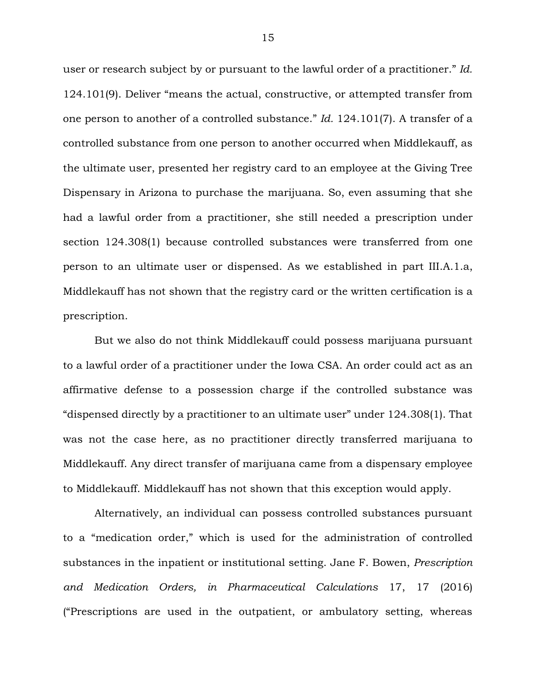user or research subject by or pursuant to the lawful order of a practitioner." *Id.* 124.101(9). Deliver "means the actual, constructive, or attempted transfer from one person to another of a controlled substance." *Id.* 124.101(7). A transfer of a controlled substance from one person to another occurred when Middlekauff, as the ultimate user, presented her registry card to an employee at the Giving Tree Dispensary in Arizona to purchase the marijuana. So, even assuming that she had a lawful order from a practitioner, she still needed a prescription under section 124.308(1) because controlled substances were transferred from one person to an ultimate user or dispensed. As we established in part III.A.1.a, Middlekauff has not shown that the registry card or the written certification is a prescription.

But we also do not think Middlekauff could possess marijuana pursuant to a lawful order of a practitioner under the Iowa CSA. An order could act as an affirmative defense to a possession charge if the controlled substance was "dispensed directly by a practitioner to an ultimate user" under 124.308(1). That was not the case here, as no practitioner directly transferred marijuana to Middlekauff. Any direct transfer of marijuana came from a dispensary employee to Middlekauff. Middlekauff has not shown that this exception would apply.

Alternatively, an individual can possess controlled substances pursuant to a "medication order," which is used for the administration of controlled substances in the inpatient or institutional setting. Jane F. Bowen, *Prescription and Medication Orders, in Pharmaceutical Calculations* 17, 17 (2016) ("Prescriptions are used in the outpatient, or ambulatory setting, whereas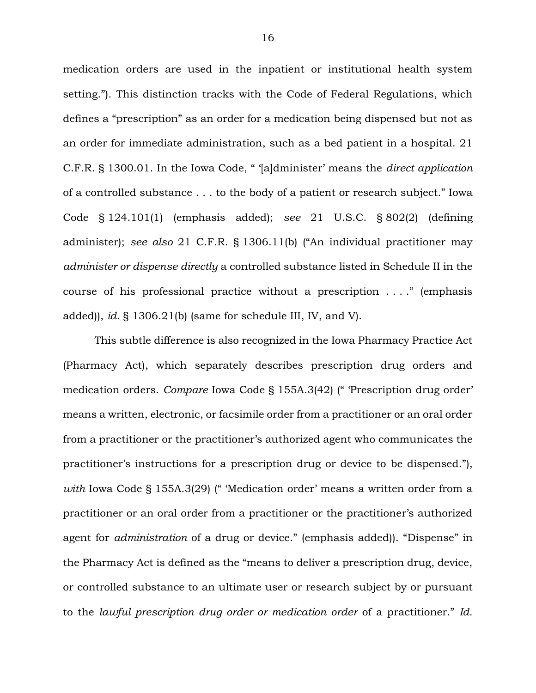medication orders are used in the inpatient or institutional health system setting."). This distinction tracks with the Code of Federal Regulations, which defines a "prescription" as an order for a medication being dispensed but not as an order for immediate administration, such as a bed patient in a hospital. 21 C.F.R. § 1300.01. In the Iowa Code, " '[a]dminister' means the *direct application* of a controlled substance . . . to the body of a patient or research subject." Iowa Code § 124.101(1) (emphasis added); *see* 21 U.S.C. § 802(2) (defining administer); *see also* 21 C.F.R. § 1306.11(b) ("An individual practitioner may *administer or dispense directly* a controlled substance listed in Schedule II in the course of his professional practice without a prescription . . . ." (emphasis added)), *id.* § 1306.21(b) (same for schedule III, IV, and V).

This subtle difference is also recognized in the Iowa Pharmacy Practice Act (Pharmacy Act), which separately describes prescription drug orders and medication orders. *Compare* Iowa Code § 155A.3(42) (" 'Prescription drug order' means a written, electronic, or facsimile order from a practitioner or an oral order from a practitioner or the practitioner's authorized agent who communicates the practitioner's instructions for a prescription drug or device to be dispensed."), *with* Iowa Code § 155A.3(29) (" 'Medication order' means a written order from a practitioner or an oral order from a practitioner or the practitioner's authorized agent for *administration* of a drug or device." (emphasis added)). "Dispense" in the Pharmacy Act is defined as the "means to deliver a prescription drug, device, or controlled substance to an ultimate user or research subject by or pursuant to the *lawful prescription drug order or medication order* of a practitioner." *Id.*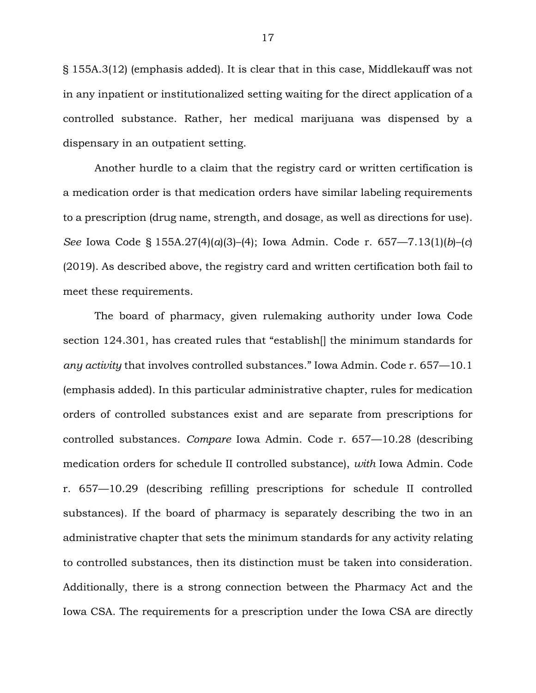§ 155A.3(12) (emphasis added). It is clear that in this case, Middlekauff was not in any inpatient or institutionalized setting waiting for the direct application of a controlled substance. Rather, her medical marijuana was dispensed by a dispensary in an outpatient setting.

Another hurdle to a claim that the registry card or written certification is a medication order is that medication orders have similar labeling requirements to a prescription (drug name, strength, and dosage, as well as directions for use). *See* Iowa Code § 155A.27(4)(*a*)(3)–(4); Iowa Admin. Code r. 657—7.13(1)(*b*)–(*c*) (2019). As described above, the registry card and written certification both fail to meet these requirements.

The board of pharmacy, given rulemaking authority under Iowa Code section 124.301, has created rules that "establish[] the minimum standards for *any activity* that involves controlled substances." Iowa Admin. Code r. 657—10.1 (emphasis added). In this particular administrative chapter, rules for medication orders of controlled substances exist and are separate from prescriptions for controlled substances. *Compare* Iowa Admin. Code r. 657—10.28 (describing medication orders for schedule II controlled substance), *with* Iowa Admin. Code r. 657—10.29 (describing refilling prescriptions for schedule II controlled substances). If the board of pharmacy is separately describing the two in an administrative chapter that sets the minimum standards for any activity relating to controlled substances, then its distinction must be taken into consideration. Additionally, there is a strong connection between the Pharmacy Act and the Iowa CSA. The requirements for a prescription under the Iowa CSA are directly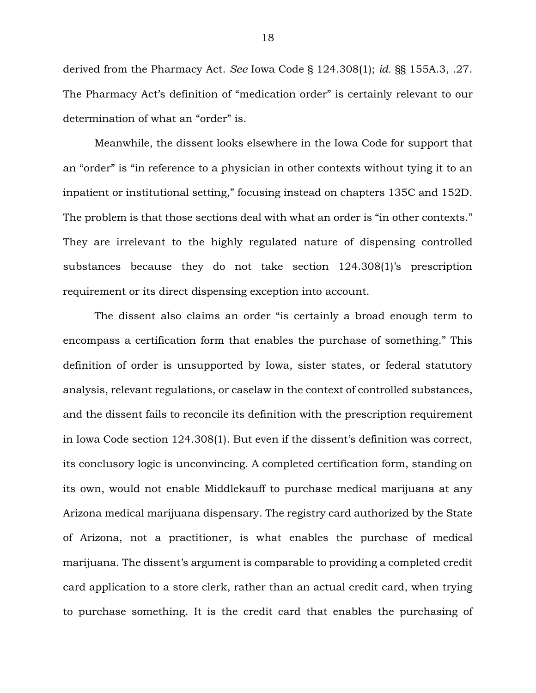derived from the Pharmacy Act. *See* Iowa Code § 124.308(1); *id.* §§ 155A.3, .27. The Pharmacy Act's definition of "medication order" is certainly relevant to our determination of what an "order" is.

Meanwhile, the dissent looks elsewhere in the Iowa Code for support that an "order" is "in reference to a physician in other contexts without tying it to an inpatient or institutional setting," focusing instead on chapters 135C and 152D. The problem is that those sections deal with what an order is "in other contexts." They are irrelevant to the highly regulated nature of dispensing controlled substances because they do not take section 124.308(1)'s prescription requirement or its direct dispensing exception into account.

The dissent also claims an order "is certainly a broad enough term to encompass a certification form that enables the purchase of something." This definition of order is unsupported by Iowa, sister states, or federal statutory analysis, relevant regulations, or caselaw in the context of controlled substances, and the dissent fails to reconcile its definition with the prescription requirement in Iowa Code section 124.308(1). But even if the dissent's definition was correct, its conclusory logic is unconvincing. A completed certification form, standing on its own, would not enable Middlekauff to purchase medical marijuana at any Arizona medical marijuana dispensary. The registry card authorized by the State of Arizona, not a practitioner, is what enables the purchase of medical marijuana. The dissent's argument is comparable to providing a completed credit card application to a store clerk, rather than an actual credit card, when trying to purchase something. It is the credit card that enables the purchasing of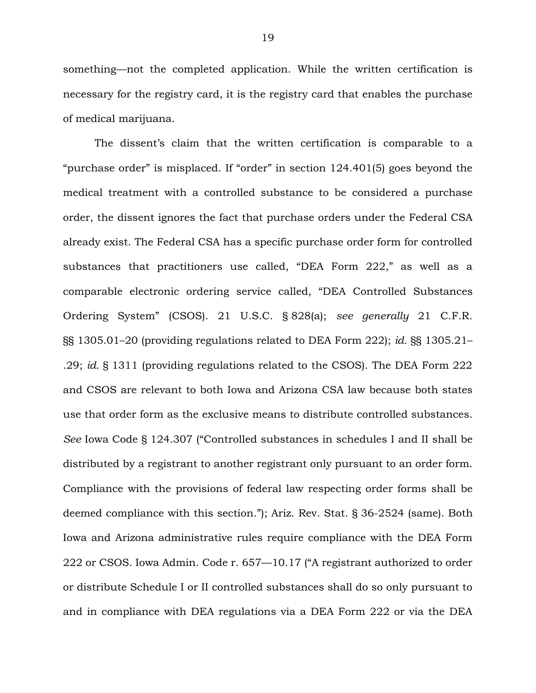something—not the completed application. While the written certification is necessary for the registry card, it is the registry card that enables the purchase of medical marijuana.

The dissent's claim that the written certification is comparable to a "purchase order" is misplaced. If "order" in section 124.401(5) goes beyond the medical treatment with a controlled substance to be considered a purchase order, the dissent ignores the fact that purchase orders under the Federal CSA already exist. The Federal CSA has a specific purchase order form for controlled substances that practitioners use called, "DEA Form 222," as well as a comparable electronic ordering service called, "DEA Controlled Substances Ordering System" (CSOS). 21 U.S.C. § 828(a); *see generally* 21 C.F.R. §§ 1305.01–20 (providing regulations related to DEA Form 222); *id.* §§ 1305.21– .29; *id.* § 1311 (providing regulations related to the CSOS). The DEA Form 222 and CSOS are relevant to both Iowa and Arizona CSA law because both states use that order form as the exclusive means to distribute controlled substances. *See* Iowa Code § 124.307 ("Controlled substances in schedules I and II shall be distributed by a registrant to another registrant only pursuant to an order form. Compliance with the provisions of federal law respecting order forms shall be deemed compliance with this section."); Ariz. Rev. Stat. § 36-2524 (same). Both Iowa and Arizona administrative rules require compliance with the DEA Form 222 or CSOS. Iowa Admin. Code r. 657—10.17 ("A registrant authorized to order or distribute Schedule I or II controlled substances shall do so only pursuant to and in compliance with DEA regulations via a DEA Form 222 or via the DEA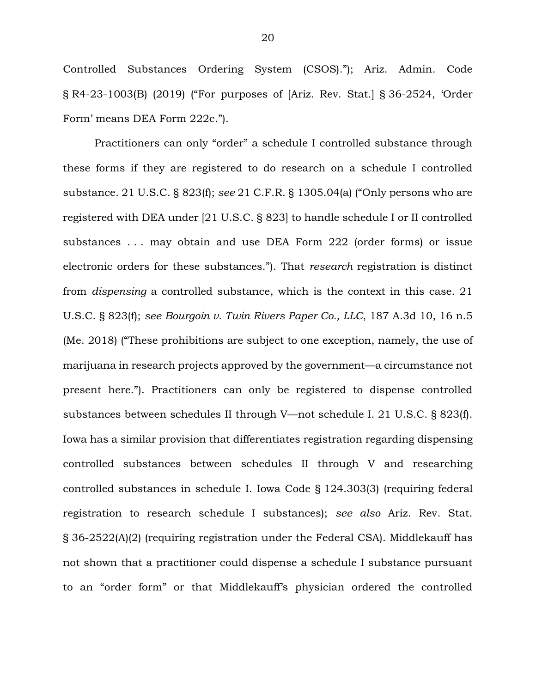Controlled Substances Ordering System (CSOS)."); Ariz. Admin. Code § R4-23-1003(B) (2019) ("For purposes of [Ariz. Rev. Stat.] § 36-2524, 'Order Form' means DEA Form 222c.").

Practitioners can only "order" a schedule I controlled substance through these forms if they are registered to do research on a schedule I controlled substance. 21 U.S.C. § 823(f); *see* 21 C.F.R. § 1305.04(a) ("Only persons who are registered with DEA under [21 U.S.C. § 823] to handle schedule I or II controlled substances . . . may obtain and use DEA Form 222 (order forms) or issue electronic orders for these substances."). That *research* registration is distinct from *dispensing* a controlled substance, which is the context in this case. 21 U.S.C. § 823(f); *see Bourgoin v. Twin Rivers Paper Co., LLC*, 187 A.3d 10, 16 n.5 (Me. 2018) ("These prohibitions are subject to one exception, namely, the use of marijuana in research projects approved by the government—a circumstance not present here."). Practitioners can only be registered to dispense controlled substances between schedules II through V—not schedule I. 21 U.S.C. § 823(f). Iowa has a similar provision that differentiates registration regarding dispensing controlled substances between schedules II through V and researching controlled substances in schedule I. Iowa Code § 124.303(3) (requiring federal registration to research schedule I substances); *see also* Ariz. Rev. Stat. § 36-2522(A)(2) (requiring registration under the Federal CSA). Middlekauff has not shown that a practitioner could dispense a schedule I substance pursuant to an "order form" or that Middlekauff's physician ordered the controlled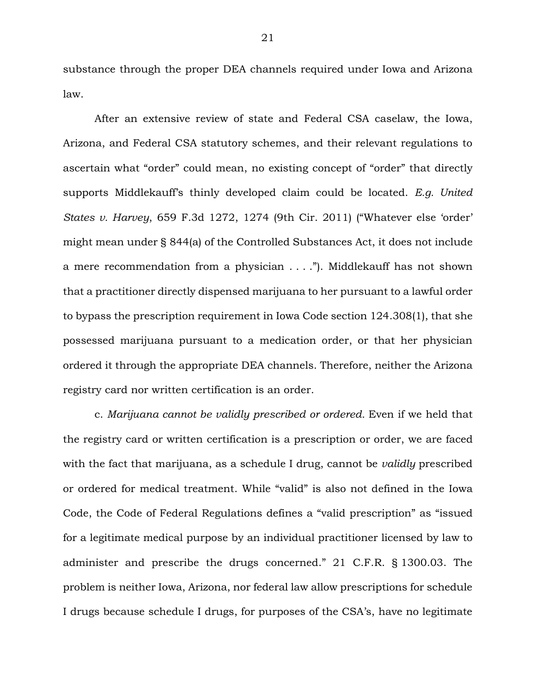substance through the proper DEA channels required under Iowa and Arizona law.

After an extensive review of state and Federal CSA caselaw, the Iowa, Arizona, and Federal CSA statutory schemes, and their relevant regulations to ascertain what "order" could mean, no existing concept of "order" that directly supports Middlekauff's thinly developed claim could be located. *E.g. United States v. Harvey*, 659 F.3d 1272, 1274 (9th Cir. 2011) ("Whatever else 'order' might mean under § 844(a) of the Controlled Substances Act, it does not include a mere recommendation from a physician . . . ."). Middlekauff has not shown that a practitioner directly dispensed marijuana to her pursuant to a lawful order to bypass the prescription requirement in Iowa Code section 124.308(1), that she possessed marijuana pursuant to a medication order, or that her physician ordered it through the appropriate DEA channels. Therefore, neither the Arizona registry card nor written certification is an order.

c. *Marijuana cannot be validly prescribed or ordered.* Even if we held that the registry card or written certification is a prescription or order, we are faced with the fact that marijuana, as a schedule I drug, cannot be *validly* prescribed or ordered for medical treatment. While "valid" is also not defined in the Iowa Code, the Code of Federal Regulations defines a "valid prescription" as "issued for a legitimate medical purpose by an individual practitioner licensed by law to administer and prescribe the drugs concerned." 21 C.F.R. § 1300.03. The problem is neither Iowa, Arizona, nor federal law allow prescriptions for schedule I drugs because schedule I drugs, for purposes of the CSA's, have no legitimate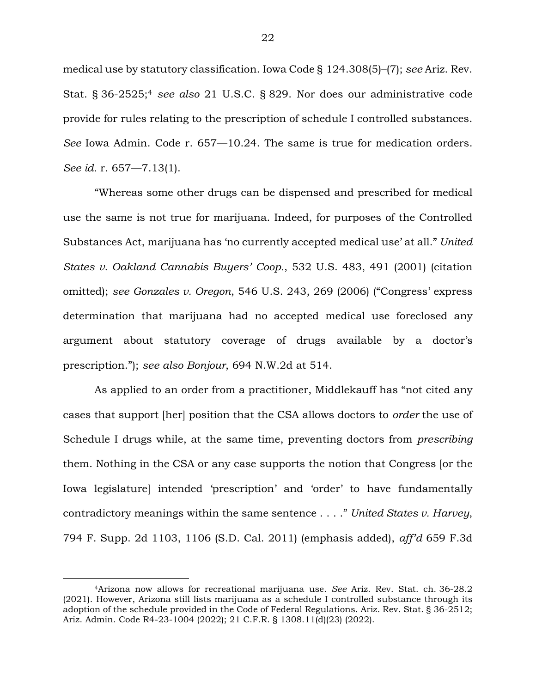medical use by statutory classification. Iowa Code § 124.308(5)–(7); *see* Ariz. Rev. Stat. § 36-2525;<sup>4</sup> *see also* 21 U.S.C. § 829. Nor does our administrative code provide for rules relating to the prescription of schedule I controlled substances. *See* Iowa Admin. Code r. 657—10.24. The same is true for medication orders. *See id.* r. 657—7.13(1).

"Whereas some other drugs can be dispensed and prescribed for medical use the same is not true for marijuana. Indeed, for purposes of the Controlled Substances Act, marijuana has 'no currently accepted medical use' at all." *United States v. Oakland Cannabis Buyers' Coop.*, 532 U.S. 483, 491 (2001) (citation omitted); *see Gonzales v. Oregon*, 546 U.S. 243, 269 (2006) ("Congress' express determination that marijuana had no accepted medical use foreclosed any argument about statutory coverage of drugs available by a doctor's prescription."); *see also Bonjour*, 694 N.W.2d at 514.

As applied to an order from a practitioner, Middlekauff has "not cited any cases that support [her] position that the CSA allows doctors to *order* the use of Schedule I drugs while, at the same time, preventing doctors from *prescribing* them. Nothing in the CSA or any case supports the notion that Congress [or the Iowa legislature] intended 'prescription' and 'order' to have fundamentally contradictory meanings within the same sentence . . . ." *United States v. Harvey*, 794 F. Supp. 2d 1103, 1106 (S.D. Cal. 2011) (emphasis added), *aff'd* 659 F.3d

 $\overline{a}$ 

<sup>4</sup>Arizona now allows for recreational marijuana use. *See* Ariz. Rev. Stat. ch. 36-28.2 (2021). However, Arizona still lists marijuana as a schedule I controlled substance through its adoption of the schedule provided in the Code of Federal Regulations. Ariz. Rev. Stat. § 36-2512; Ariz. Admin. Code R4-23-1004 (2022); 21 C.F.R. § 1308.11(d)(23) (2022).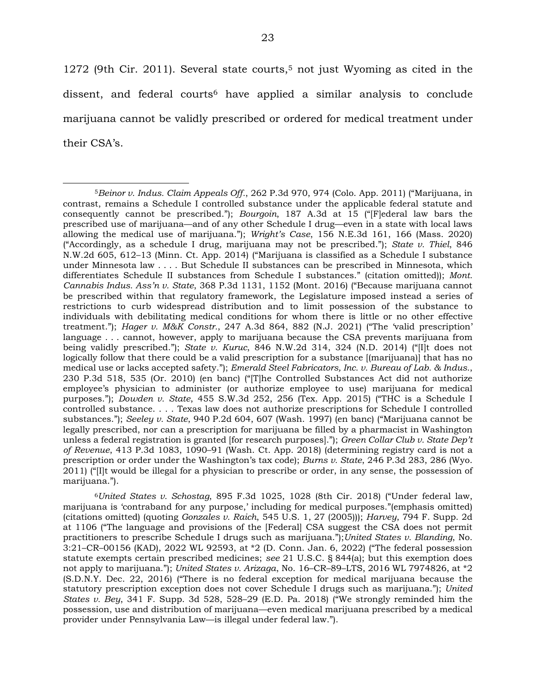1272 (9th Cir. 2011). Several state courts,5 not just Wyoming as cited in the dissent, and federal courts<sup>6</sup> have applied a similar analysis to conclude marijuana cannot be validly prescribed or ordered for medical treatment under their CSA's.

<sup>6</sup>*United States v. Schostag*, 895 F.3d 1025, 1028 (8th Cir. 2018) ("Under federal law, marijuana is 'contraband for any purpose,' including for medical purposes."(emphasis omitted) (citations omitted) (quoting *Gonzales v. Raich*, 545 U.S. 1, 27 (2005))); *Harvey*, 794 F. Supp. 2d at 1106 ("The language and provisions of the [Federal] CSA suggest the CSA does not permit practitioners to prescribe Schedule I drugs such as marijuana.");*United States v. Blanding*, No. 3:21–CR–00156 (KAD), 2022 WL 92593, at \*2 (D. Conn. Jan. 6, 2022) ("The federal possession statute exempts certain prescribed medicines; *see* 21 U.S.C. § 844(a); but this exemption does not apply to marijuana."); *United States v. Arizaga*, No. 16–CR–89–LTS, 2016 WL 7974826, at \*2 (S.D.N.Y. Dec. 22, 2016) ("There is no federal exception for medical marijuana because the statutory prescription exception does not cover Schedule I drugs such as marijuana."); *United States v. Bey*, 341 F. Supp. 3d 528, 528–29 (E.D. Pa. 2018) ("We strongly reminded him the possession, use and distribution of marijuana—even medical marijuana prescribed by a medical provider under Pennsylvania Law—is illegal under federal law.").

 $\overline{a}$ <sup>5</sup>*Beinor v. Indus. Claim Appeals Off.*, 262 P.3d 970, 974 (Colo. App. 2011) ("Marijuana, in contrast, remains a Schedule I controlled substance under the applicable federal statute and consequently cannot be prescribed."); *Bourgoin*, 187 A.3d at 15 ("[F]ederal law bars the prescribed use of marijuana—and of any other Schedule I drug—even in a state with local laws allowing the medical use of marijuana."); *Wright's Case*, 156 N.E.3d 161, 166 (Mass. 2020) ("Accordingly, as a schedule I drug, marijuana may not be prescribed."); *State v. Thiel*, 846 N.W.2d 605, 612–13 (Minn. Ct. App. 2014) ("Marijuana is classified as a Schedule I substance under Minnesota law . . . . But Schedule II substances can be prescribed in Minnesota, which differentiates Schedule II substances from Schedule I substances." (citation omitted)); *Mont. Cannabis Indus. Ass'n v. State*, 368 P.3d 1131, 1152 (Mont. 2016) ("Because marijuana cannot be prescribed within that regulatory framework, the Legislature imposed instead a series of restrictions to curb widespread distribution and to limit possession of the substance to individuals with debilitating medical conditions for whom there is little or no other effective treatment."); *Hager v. M&K Constr.*, 247 A.3d 864, 882 (N.J. 2021) ("The 'valid prescription' language . . . cannot, however, apply to marijuana because the CSA prevents marijuana from being validly prescribed."); *State v. Kuruc*, 846 N.W.2d 314, 324 (N.D. 2014) ("[I]t does not logically follow that there could be a valid prescription for a substance [(marijuana)] that has no medical use or lacks accepted safety."); *Emerald Steel Fabricators, Inc. v. Bureau of Lab. & Indus.*, 230 P.3d 518, 535 (Or. 2010) (en banc) ("[T]he Controlled Substances Act did not authorize employee's physician to administer (or authorize employee to use) marijuana for medical purposes."); *Dowden v. State*, 455 S.W.3d 252, 256 (Tex. App. 2015) ("THC is a Schedule I controlled substance. . . . Texas law does not authorize prescriptions for Schedule I controlled substances."); *Seeley v. State*, 940 P.2d 604, 607 (Wash. 1997) (en banc) ("Marijuana cannot be legally prescribed, nor can a prescription for marijuana be filled by a pharmacist in Washington unless a federal registration is granted [for research purposes]."); *Green Collar Club v. State Dep't of Revenue*, 413 P.3d 1083, 1090–91 (Wash. Ct. App. 2018) (determining registry card is not a prescription or order under the Washington's tax code); *Burns v. State*, 246 P.3d 283, 286 (Wyo. 2011) ("[I]t would be illegal for a physician to prescribe or order, in any sense, the possession of marijuana.").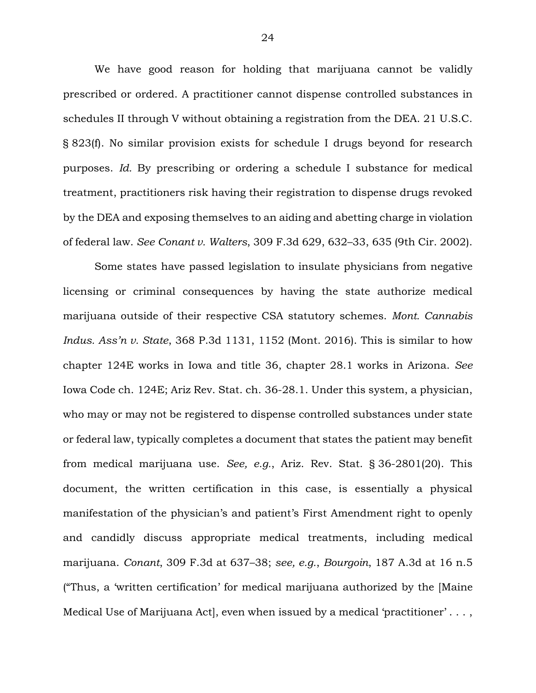We have good reason for holding that marijuana cannot be validly prescribed or ordered. A practitioner cannot dispense controlled substances in schedules II through V without obtaining a registration from the DEA. 21 U.S.C. § 823(f). No similar provision exists for schedule I drugs beyond for research purposes. *Id.* By prescribing or ordering a schedule I substance for medical treatment, practitioners risk having their registration to dispense drugs revoked by the DEA and exposing themselves to an aiding and abetting charge in violation of federal law. *See Conant v. Walters*, 309 F.3d 629, 632–33, 635 (9th Cir. 2002).

Some states have passed legislation to insulate physicians from negative licensing or criminal consequences by having the state authorize medical marijuana outside of their respective CSA statutory schemes. *Mont. Cannabis Indus. Ass'n v. State*, 368 P.3d 1131, 1152 (Mont. 2016). This is similar to how chapter 124E works in Iowa and title 36, chapter 28.1 works in Arizona. *See*  Iowa Code ch. 124E; Ariz Rev. Stat. ch. 36-28.1. Under this system, a physician, who may or may not be registered to dispense controlled substances under state or federal law, typically completes a document that states the patient may benefit from medical marijuana use. *See, e.g.*, Ariz. Rev. Stat. § 36-2801(20). This document, the written certification in this case, is essentially a physical manifestation of the physician's and patient's First Amendment right to openly and candidly discuss appropriate medical treatments, including medical marijuana. *Conant*, 309 F.3d at 637–38; *see, e.g.*, *Bourgoin*, 187 A.3d at 16 n.5 ("Thus, a 'written certification' for medical marijuana authorized by the [Maine Medical Use of Marijuana Act], even when issued by a medical 'practitioner' . . . ,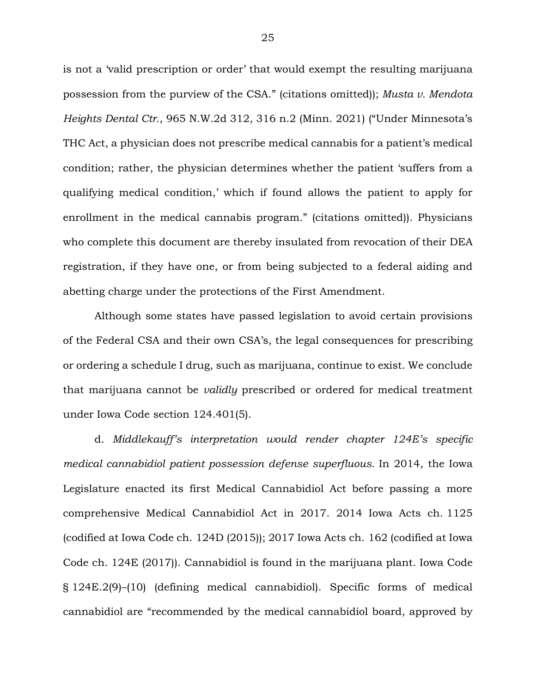is not a 'valid prescription or order' that would exempt the resulting marijuana possession from the purview of the CSA." (citations omitted)); *Musta v. Mendota Heights Dental Ctr.*, 965 N.W.2d 312, 316 n.2 (Minn. 2021) ("Under Minnesota's THC Act, a physician does not prescribe medical cannabis for a patient's medical condition; rather, the physician determines whether the patient 'suffers from a qualifying medical condition,' which if found allows the patient to apply for enrollment in the medical cannabis program." (citations omitted)). Physicians who complete this document are thereby insulated from revocation of their DEA registration, if they have one, or from being subjected to a federal aiding and abetting charge under the protections of the First Amendment.

Although some states have passed legislation to avoid certain provisions of the Federal CSA and their own CSA's, the legal consequences for prescribing or ordering a schedule I drug, such as marijuana, continue to exist. We conclude that marijuana cannot be *validly* prescribed or ordered for medical treatment under Iowa Code section 124.401(5).

d. *Middlekauff's interpretation would render chapter 124E's specific medical cannabidiol patient possession defense superfluous.* In 2014, the Iowa Legislature enacted its first Medical Cannabidiol Act before passing a more comprehensive Medical Cannabidiol Act in 2017. 2014 Iowa Acts ch. 1125 (codified at Iowa Code ch. 124D (2015)); 2017 Iowa Acts ch. 162 (codified at Iowa Code ch. 124E (2017)). Cannabidiol is found in the marijuana plant. Iowa Code § 124E.2(9)–(10) (defining medical cannabidiol). Specific forms of medical cannabidiol are "recommended by the medical cannabidiol board, approved by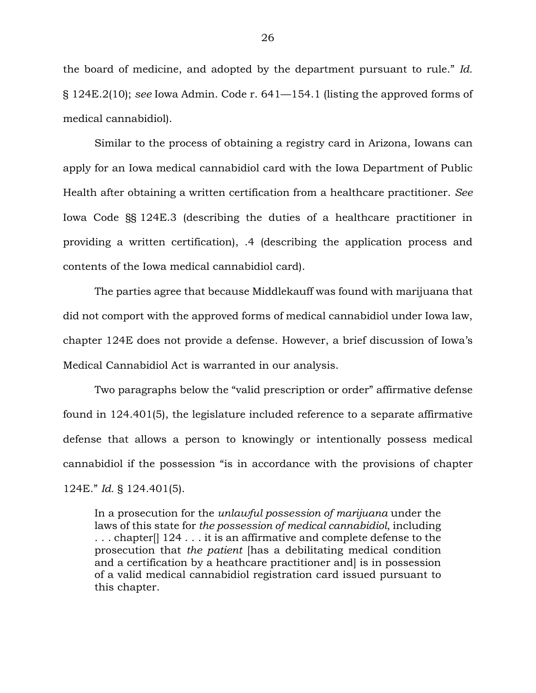the board of medicine, and adopted by the department pursuant to rule." *Id.* § 124E.2(10); *see* Iowa Admin. Code r. 641—154.1 (listing the approved forms of medical cannabidiol).

Similar to the process of obtaining a registry card in Arizona, Iowans can apply for an Iowa medical cannabidiol card with the Iowa Department of Public Health after obtaining a written certification from a healthcare practitioner. *See* Iowa Code §§ 124E.3 (describing the duties of a healthcare practitioner in providing a written certification), .4 (describing the application process and contents of the Iowa medical cannabidiol card).

The parties agree that because Middlekauff was found with marijuana that did not comport with the approved forms of medical cannabidiol under Iowa law, chapter 124E does not provide a defense. However, a brief discussion of Iowa's Medical Cannabidiol Act is warranted in our analysis.

Two paragraphs below the "valid prescription or order" affirmative defense found in 124.401(5), the legislature included reference to a separate affirmative defense that allows a person to knowingly or intentionally possess medical cannabidiol if the possession "is in accordance with the provisions of chapter 124E." *Id.* § 124.401(5).

In a prosecution for the *unlawful possession of marijuana* under the laws of this state for *the possession of medical cannabidiol*, including . . . chapter[] 124 . . . it is an affirmative and complete defense to the prosecution that *the patient* [has a debilitating medical condition and a certification by a heathcare practitioner and] is in possession of a valid medical cannabidiol registration card issued pursuant to this chapter.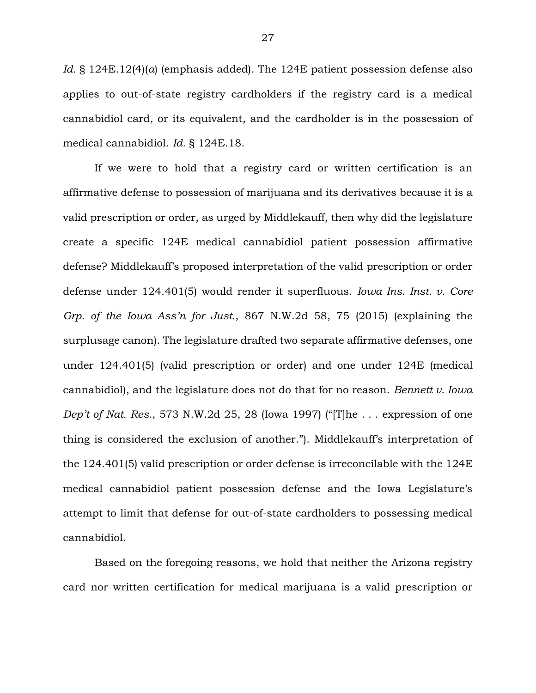*Id.* § 124E.12(4)(*a*) (emphasis added). The 124E patient possession defense also applies to out-of-state registry cardholders if the registry card is a medical cannabidiol card, or its equivalent, and the cardholder is in the possession of medical cannabidiol. *Id.* § 124E.18.

If we were to hold that a registry card or written certification is an affirmative defense to possession of marijuana and its derivatives because it is a valid prescription or order, as urged by Middlekauff, then why did the legislature create a specific 124E medical cannabidiol patient possession affirmative defense? Middlekauff's proposed interpretation of the valid prescription or order defense under 124.401(5) would render it superfluous. *Iowa Ins. Inst. v. Core Grp. of the Iowa Ass'n for Just.*, 867 N.W.2d 58, 75 (2015) (explaining the surplusage canon). The legislature drafted two separate affirmative defenses, one under 124.401(5) (valid prescription or order) and one under 124E (medical cannabidiol), and the legislature does not do that for no reason. *Bennett v. Iowa Dep't of Nat. Res.*, 573 N.W.2d 25, 28 (Iowa 1997) ("[T]he . . . expression of one thing is considered the exclusion of another."). Middlekauff's interpretation of the 124.401(5) valid prescription or order defense is irreconcilable with the 124E medical cannabidiol patient possession defense and the Iowa Legislature's attempt to limit that defense for out-of-state cardholders to possessing medical cannabidiol.

Based on the foregoing reasons, we hold that neither the Arizona registry card nor written certification for medical marijuana is a valid prescription or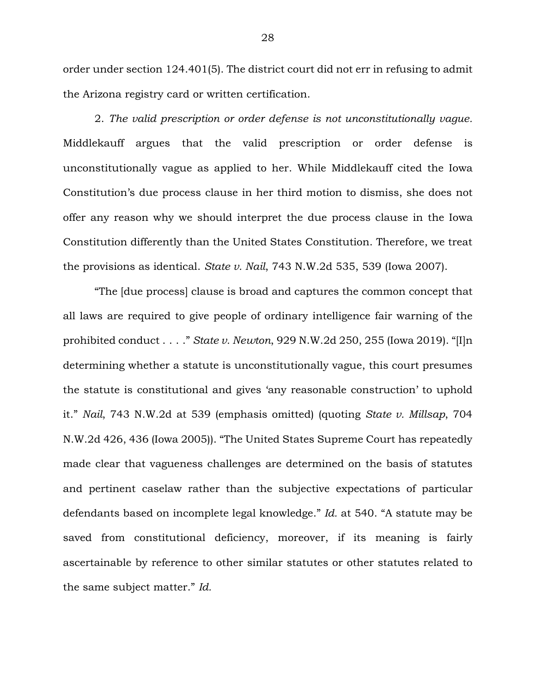order under section 124.401(5). The district court did not err in refusing to admit the Arizona registry card or written certification.

2. *The valid prescription or order defense is not unconstitutionally vague.* Middlekauff argues that the valid prescription or order defense is unconstitutionally vague as applied to her. While Middlekauff cited the Iowa Constitution's due process clause in her third motion to dismiss, she does not offer any reason why we should interpret the due process clause in the Iowa Constitution differently than the United States Constitution. Therefore, we treat the provisions as identical. *State v. Nail*, 743 N.W.2d 535, 539 (Iowa 2007).

"The [due process] clause is broad and captures the common concept that all laws are required to give people of ordinary intelligence fair warning of the prohibited conduct . . . ." *State v. Newton*, 929 N.W.2d 250, 255 (Iowa 2019). "[I]n determining whether a statute is unconstitutionally vague, this court presumes the statute is constitutional and gives 'any reasonable construction' to uphold it." *Nail*, 743 N.W.2d at 539 (emphasis omitted) (quoting *State v. Millsap*, 704 N.W.2d 426, 436 (Iowa 2005)). "The United States Supreme Court has repeatedly made clear that vagueness challenges are determined on the basis of statutes and pertinent caselaw rather than the subjective expectations of particular defendants based on incomplete legal knowledge." *Id.* at 540. "A statute may be saved from constitutional deficiency, moreover, if its meaning is fairly ascertainable by reference to other similar statutes or other statutes related to the same subject matter." *Id.*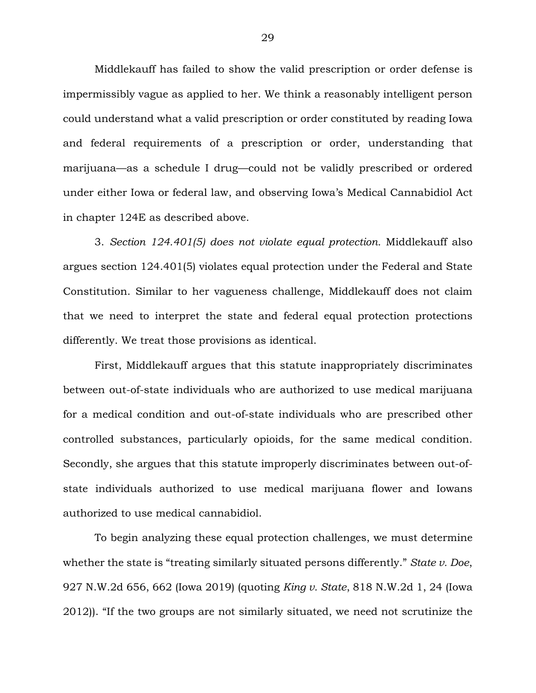Middlekauff has failed to show the valid prescription or order defense is impermissibly vague as applied to her. We think a reasonably intelligent person could understand what a valid prescription or order constituted by reading Iowa and federal requirements of a prescription or order, understanding that marijuana—as a schedule I drug—could not be validly prescribed or ordered under either Iowa or federal law, and observing Iowa's Medical Cannabidiol Act in chapter 124E as described above.

3. *Section 124.401(5) does not violate equal protection.* Middlekauff also argues section 124.401(5) violates equal protection under the Federal and State Constitution. Similar to her vagueness challenge, Middlekauff does not claim that we need to interpret the state and federal equal protection protections differently. We treat those provisions as identical.

First, Middlekauff argues that this statute inappropriately discriminates between out-of-state individuals who are authorized to use medical marijuana for a medical condition and out-of-state individuals who are prescribed other controlled substances, particularly opioids, for the same medical condition. Secondly, she argues that this statute improperly discriminates between out-ofstate individuals authorized to use medical marijuana flower and Iowans authorized to use medical cannabidiol.

To begin analyzing these equal protection challenges, we must determine whether the state is "treating similarly situated persons differently." *State v. Doe*, 927 N.W.2d 656, 662 (Iowa 2019) (quoting *King v. State*, 818 N.W.2d 1, 24 (Iowa 2012)). "If the two groups are not similarly situated, we need not scrutinize the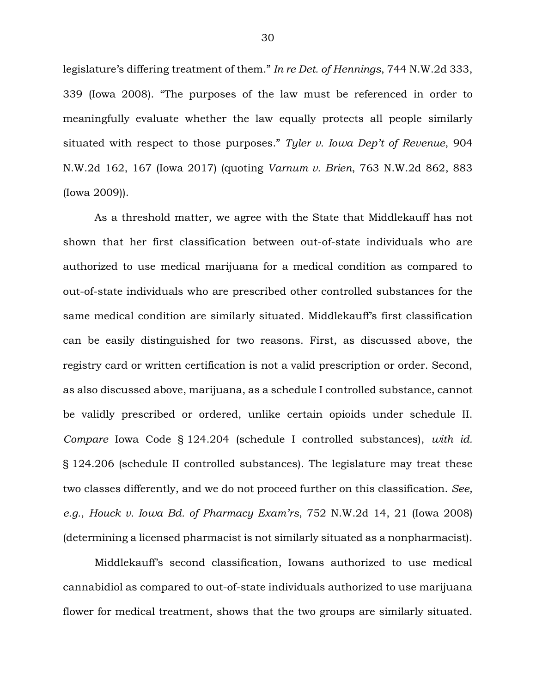legislature's differing treatment of them." *In re Det. of Hennings*, 744 N.W.2d 333, 339 (Iowa 2008). "The purposes of the law must be referenced in order to meaningfully evaluate whether the law equally protects all people similarly situated with respect to those purposes." *Tyler v. Iowa Dep't of Revenue*, 904 N.W.2d 162, 167 (Iowa 2017) (quoting *Varnum v. Brien*, 763 N.W.2d 862, 883 (Iowa 2009)).

As a threshold matter, we agree with the State that Middlekauff has not shown that her first classification between out-of-state individuals who are authorized to use medical marijuana for a medical condition as compared to out-of-state individuals who are prescribed other controlled substances for the same medical condition are similarly situated. Middlekauff's first classification can be easily distinguished for two reasons. First, as discussed above, the registry card or written certification is not a valid prescription or order. Second, as also discussed above, marijuana, as a schedule I controlled substance, cannot be validly prescribed or ordered, unlike certain opioids under schedule II. *Compare* Iowa Code § 124.204 (schedule I controlled substances), *with id.* § 124.206 (schedule II controlled substances). The legislature may treat these two classes differently, and we do not proceed further on this classification. *See, e.g.*, *Houck v. Iowa Bd. of Pharmacy Exam'rs*, 752 N.W.2d 14, 21 (Iowa 2008) (determining a licensed pharmacist is not similarly situated as a nonpharmacist).

Middlekauff's second classification, Iowans authorized to use medical cannabidiol as compared to out-of-state individuals authorized to use marijuana flower for medical treatment, shows that the two groups are similarly situated.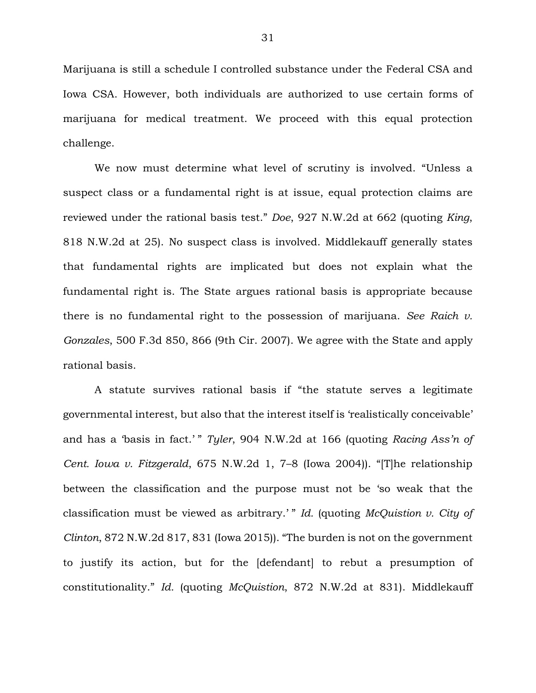Marijuana is still a schedule I controlled substance under the Federal CSA and Iowa CSA. However, both individuals are authorized to use certain forms of marijuana for medical treatment. We proceed with this equal protection challenge.

We now must determine what level of scrutiny is involved. "Unless a suspect class or a fundamental right is at issue, equal protection claims are reviewed under the rational basis test." *Doe*, 927 N.W.2d at 662 (quoting *King*, 818 N.W.2d at 25). No suspect class is involved. Middlekauff generally states that fundamental rights are implicated but does not explain what the fundamental right is. The State argues rational basis is appropriate because there is no fundamental right to the possession of marijuana. *See Raich v. Gonzales*, 500 F.3d 850, 866 (9th Cir. 2007). We agree with the State and apply rational basis.

A statute survives rational basis if "the statute serves a legitimate governmental interest, but also that the interest itself is 'realistically conceivable' and has a 'basis in fact.' " *Tyler*, 904 N.W.2d at 166 (quoting *Racing Ass'n of Cent. Iowa v. Fitzgerald*, 675 N.W.2d 1, 7–8 (Iowa 2004)). "[T]he relationship between the classification and the purpose must not be 'so weak that the classification must be viewed as arbitrary.' " *Id.* (quoting *McQuistion v. City of Clinton*, 872 N.W.2d 817, 831 (Iowa 2015)). "The burden is not on the government to justify its action, but for the [defendant] to rebut a presumption of constitutionality." *Id.* (quoting *McQuistion*, 872 N.W.2d at 831). Middlekauff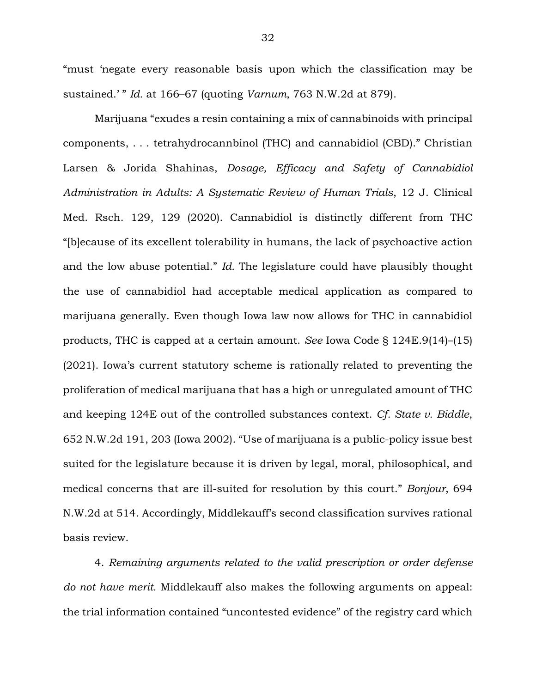"must 'negate every reasonable basis upon which the classification may be sustained.' " *Id.* at 166–67 (quoting *Varnum*, 763 N.W.2d at 879).

Marijuana "exudes a resin containing a mix of cannabinoids with principal components, . . . tetrahydrocannbinol (THC) and cannabidiol (CBD)." Christian Larsen & Jorida Shahinas, *Dosage, Efficacy and Safety of Cannabidiol Administration in Adults: A Systematic Review of Human Trials*, 12 J. Clinical Med. Rsch. 129, 129 (2020). Cannabidiol is distinctly different from THC "[b]ecause of its excellent tolerability in humans, the lack of psychoactive action and the low abuse potential." *Id.* The legislature could have plausibly thought the use of cannabidiol had acceptable medical application as compared to marijuana generally. Even though Iowa law now allows for THC in cannabidiol products, THC is capped at a certain amount. *See* Iowa Code § 124E.9(14)–(15) (2021). Iowa's current statutory scheme is rationally related to preventing the proliferation of medical marijuana that has a high or unregulated amount of THC and keeping 124E out of the controlled substances context. *Cf. State v. Biddle*, 652 N.W.2d 191, 203 (Iowa 2002). "Use of marijuana is a public-policy issue best suited for the legislature because it is driven by legal, moral, philosophical, and medical concerns that are ill-suited for resolution by this court." *Bonjour*, 694 N.W.2d at 514. Accordingly, Middlekauff's second classification survives rational basis review.

4. *Remaining arguments related to the valid prescription or order defense do not have merit.* Middlekauff also makes the following arguments on appeal: the trial information contained "uncontested evidence" of the registry card which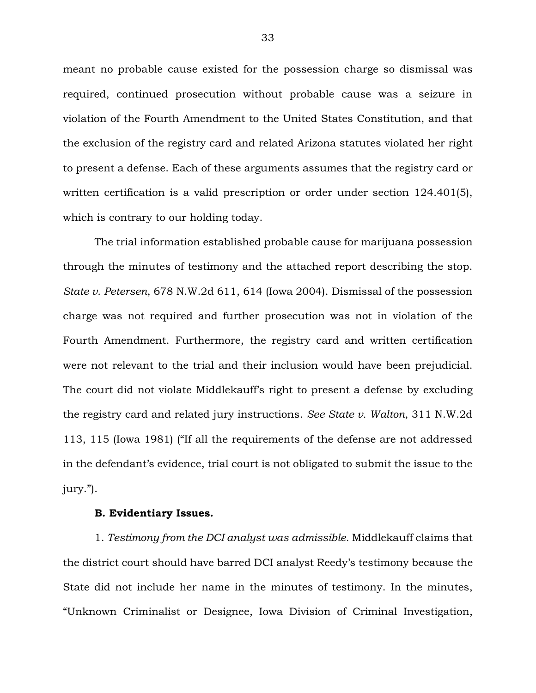meant no probable cause existed for the possession charge so dismissal was required, continued prosecution without probable cause was a seizure in violation of the Fourth Amendment to the United States Constitution, and that the exclusion of the registry card and related Arizona statutes violated her right to present a defense. Each of these arguments assumes that the registry card or written certification is a valid prescription or order under section 124.401(5), which is contrary to our holding today.

The trial information established probable cause for marijuana possession through the minutes of testimony and the attached report describing the stop. *State v. Petersen*, 678 N.W.2d 611, 614 (Iowa 2004). Dismissal of the possession charge was not required and further prosecution was not in violation of the Fourth Amendment. Furthermore, the registry card and written certification were not relevant to the trial and their inclusion would have been prejudicial. The court did not violate Middlekauff's right to present a defense by excluding the registry card and related jury instructions. *See State v. Walton*, 311 N.W.2d 113, 115 (Iowa 1981) ("If all the requirements of the defense are not addressed in the defendant's evidence, trial court is not obligated to submit the issue to the jury.").

#### **B. Evidentiary Issues.**

1. *Testimony from the DCI analyst was admissible.* Middlekauff claims that the district court should have barred DCI analyst Reedy's testimony because the State did not include her name in the minutes of testimony. In the minutes, "Unknown Criminalist or Designee, Iowa Division of Criminal Investigation,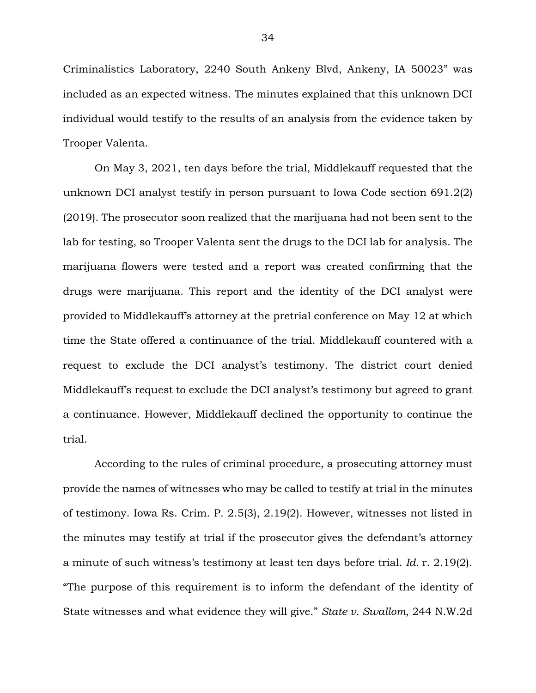Criminalistics Laboratory, 2240 South Ankeny Blvd, Ankeny, IA 50023" was included as an expected witness. The minutes explained that this unknown DCI individual would testify to the results of an analysis from the evidence taken by Trooper Valenta.

On May 3, 2021, ten days before the trial, Middlekauff requested that the unknown DCI analyst testify in person pursuant to Iowa Code section 691.2(2) (2019). The prosecutor soon realized that the marijuana had not been sent to the lab for testing, so Trooper Valenta sent the drugs to the DCI lab for analysis. The marijuana flowers were tested and a report was created confirming that the drugs were marijuana. This report and the identity of the DCI analyst were provided to Middlekauff's attorney at the pretrial conference on May 12 at which time the State offered a continuance of the trial. Middlekauff countered with a request to exclude the DCI analyst's testimony. The district court denied Middlekauff's request to exclude the DCI analyst's testimony but agreed to grant a continuance. However, Middlekauff declined the opportunity to continue the trial.

According to the rules of criminal procedure, a prosecuting attorney must provide the names of witnesses who may be called to testify at trial in the minutes of testimony. Iowa Rs. Crim. P. 2.5(3), 2.19(2). However, witnesses not listed in the minutes may testify at trial if the prosecutor gives the defendant's attorney a minute of such witness's testimony at least ten days before trial. *Id.* r. 2.19(2). "The purpose of this requirement is to inform the defendant of the identity of State witnesses and what evidence they will give." *State v. Swallom*, 244 N.W.2d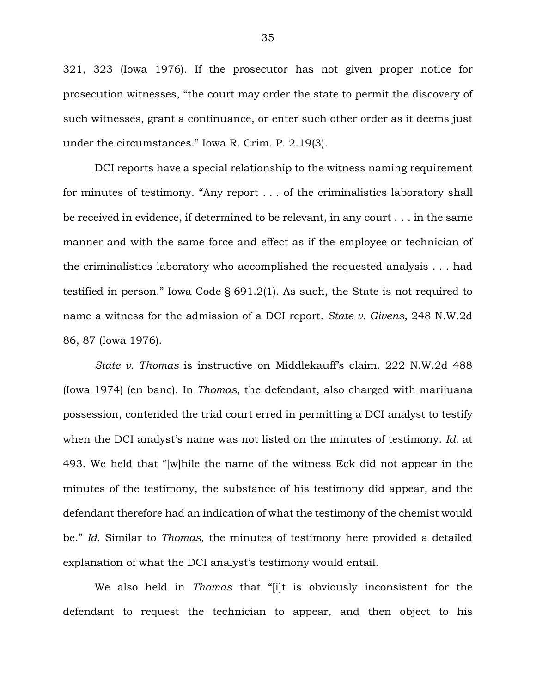321, 323 (Iowa 1976). If the prosecutor has not given proper notice for prosecution witnesses, "the court may order the state to permit the discovery of such witnesses, grant a continuance, or enter such other order as it deems just under the circumstances." Iowa R. Crim. P. 2.19(3).

DCI reports have a special relationship to the witness naming requirement for minutes of testimony. "Any report . . . of the criminalistics laboratory shall be received in evidence, if determined to be relevant, in any court . . . in the same manner and with the same force and effect as if the employee or technician of the criminalistics laboratory who accomplished the requested analysis . . . had testified in person." Iowa Code § 691.2(1). As such, the State is not required to name a witness for the admission of a DCI report. *State v. Givens*, 248 N.W.2d 86, 87 (Iowa 1976).

*State v. Thomas* is instructive on Middlekauff's claim. 222 N.W.2d 488 (Iowa 1974) (en banc). In *Thomas*, the defendant, also charged with marijuana possession, contended the trial court erred in permitting a DCI analyst to testify when the DCI analyst's name was not listed on the minutes of testimony. *Id.* at 493. We held that "[w]hile the name of the witness Eck did not appear in the minutes of the testimony, the substance of his testimony did appear, and the defendant therefore had an indication of what the testimony of the chemist would be." *Id.* Similar to *Thomas*, the minutes of testimony here provided a detailed explanation of what the DCI analyst's testimony would entail.

We also held in *Thomas* that "[i]t is obviously inconsistent for the defendant to request the technician to appear, and then object to his

35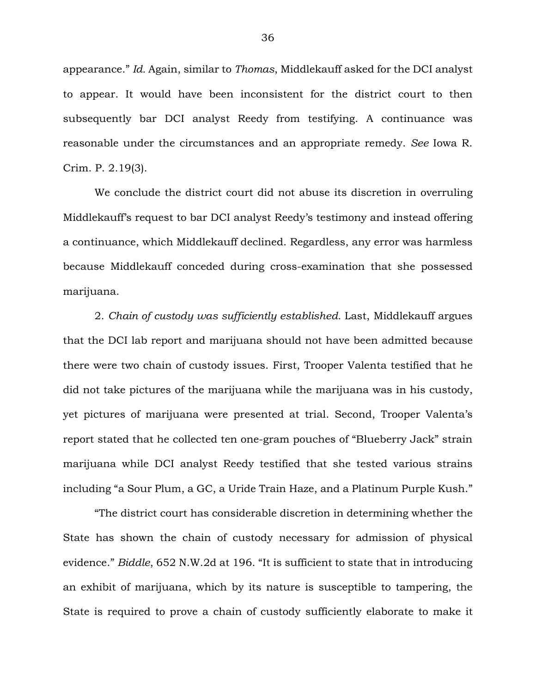appearance." *Id.* Again, similar to *Thomas*, Middlekauff asked for the DCI analyst to appear. It would have been inconsistent for the district court to then subsequently bar DCI analyst Reedy from testifying. A continuance was reasonable under the circumstances and an appropriate remedy. *See* Iowa R. Crim. P. 2.19(3).

We conclude the district court did not abuse its discretion in overruling Middlekauff's request to bar DCI analyst Reedy's testimony and instead offering a continuance, which Middlekauff declined. Regardless, any error was harmless because Middlekauff conceded during cross-examination that she possessed marijuana.

2. *Chain of custody was sufficiently established.* Last, Middlekauff argues that the DCI lab report and marijuana should not have been admitted because there were two chain of custody issues. First, Trooper Valenta testified that he did not take pictures of the marijuana while the marijuana was in his custody, yet pictures of marijuana were presented at trial. Second, Trooper Valenta's report stated that he collected ten one-gram pouches of "Blueberry Jack" strain marijuana while DCI analyst Reedy testified that she tested various strains including "a Sour Plum, a GC, a Uride Train Haze, and a Platinum Purple Kush."

"The district court has considerable discretion in determining whether the State has shown the chain of custody necessary for admission of physical evidence." *Biddle*, 652 N.W.2d at 196. "It is sufficient to state that in introducing an exhibit of marijuana, which by its nature is susceptible to tampering, the State is required to prove a chain of custody sufficiently elaborate to make it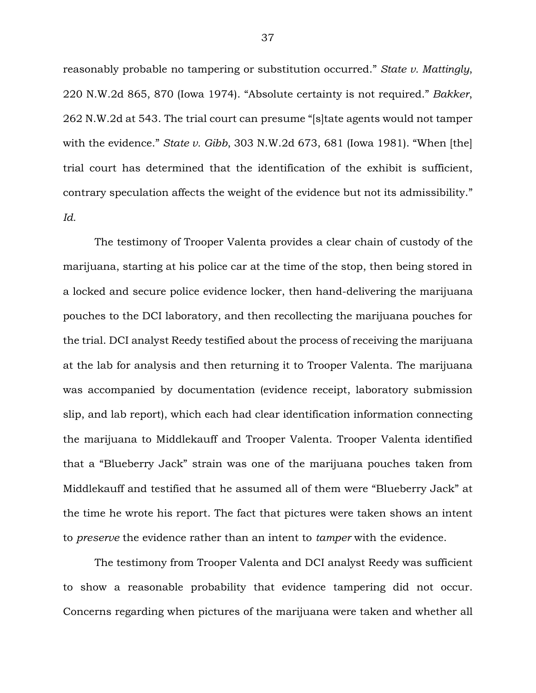reasonably probable no tampering or substitution occurred." *State v. Mattingly*, 220 N.W.2d 865, 870 (Iowa 1974). "Absolute certainty is not required." *Bakker*, 262 N.W.2d at 543. The trial court can presume "[s]tate agents would not tamper with the evidence." *State v. Gibb*, 303 N.W.2d 673, 681 (Iowa 1981). "When [the] trial court has determined that the identification of the exhibit is sufficient, contrary speculation affects the weight of the evidence but not its admissibility." *Id.*

The testimony of Trooper Valenta provides a clear chain of custody of the marijuana, starting at his police car at the time of the stop, then being stored in a locked and secure police evidence locker, then hand-delivering the marijuana pouches to the DCI laboratory, and then recollecting the marijuana pouches for the trial. DCI analyst Reedy testified about the process of receiving the marijuana at the lab for analysis and then returning it to Trooper Valenta. The marijuana was accompanied by documentation (evidence receipt, laboratory submission slip, and lab report), which each had clear identification information connecting the marijuana to Middlekauff and Trooper Valenta. Trooper Valenta identified that a "Blueberry Jack" strain was one of the marijuana pouches taken from Middlekauff and testified that he assumed all of them were "Blueberry Jack" at the time he wrote his report. The fact that pictures were taken shows an intent to *preserve* the evidence rather than an intent to *tamper* with the evidence.

The testimony from Trooper Valenta and DCI analyst Reedy was sufficient to show a reasonable probability that evidence tampering did not occur. Concerns regarding when pictures of the marijuana were taken and whether all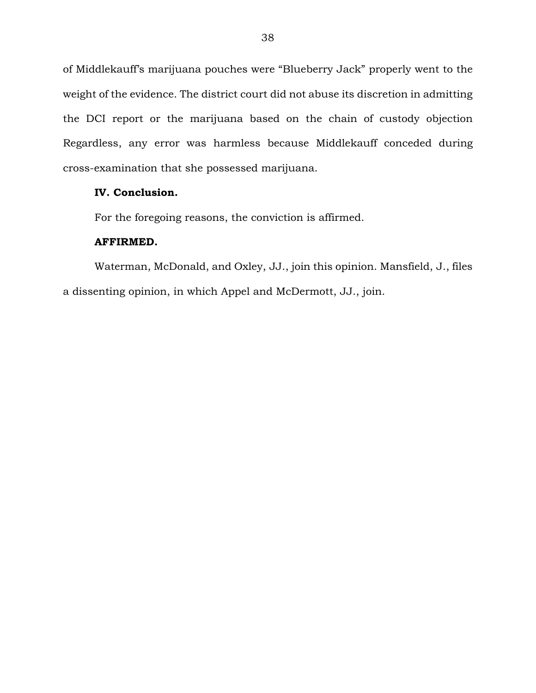of Middlekauff's marijuana pouches were "Blueberry Jack" properly went to the weight of the evidence. The district court did not abuse its discretion in admitting the DCI report or the marijuana based on the chain of custody objection Regardless, any error was harmless because Middlekauff conceded during cross-examination that she possessed marijuana.

# **IV. Conclusion.**

For the foregoing reasons, the conviction is affirmed.

### **AFFIRMED.**

Waterman, McDonald, and Oxley, JJ., join this opinion. Mansfield, J., files a dissenting opinion, in which Appel and McDermott, JJ., join.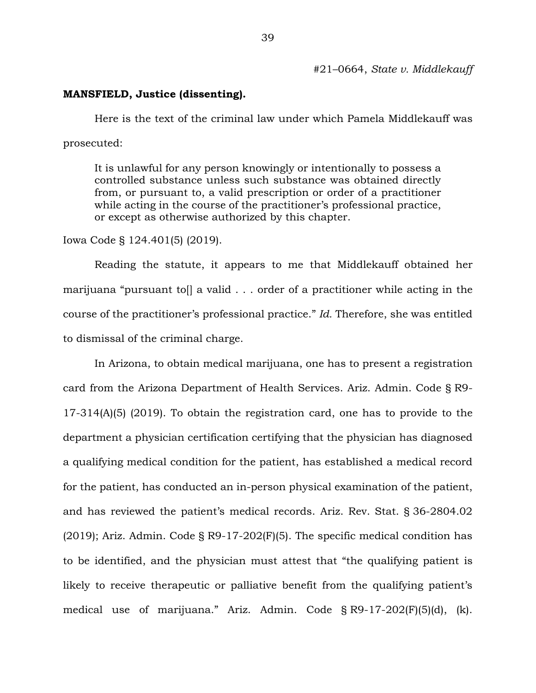#21–0664, *State v. Middlekauff* 

### **MANSFIELD, Justice (dissenting).**

Here is the text of the criminal law under which Pamela Middlekauff was prosecuted:

It is unlawful for any person knowingly or intentionally to possess a controlled substance unless such substance was obtained directly from, or pursuant to, a valid prescription or order of a practitioner while acting in the course of the practitioner's professional practice, or except as otherwise authorized by this chapter.

Iowa Code § 124.401(5) (2019).

Reading the statute, it appears to me that Middlekauff obtained her marijuana "pursuant toll a valid . . . order of a practitioner while acting in the course of the practitioner's professional practice." *Id.* Therefore, she was entitled to dismissal of the criminal charge.

In Arizona, to obtain medical marijuana, one has to present a registration card from the Arizona Department of Health Services. Ariz. Admin. Code § R9- 17-314(A)(5) (2019). To obtain the registration card, one has to provide to the department a physician certification certifying that the physician has diagnosed a qualifying medical condition for the patient, has established a medical record for the patient, has conducted an in-person physical examination of the patient, and has reviewed the patient's medical records. Ariz. Rev. Stat. § 36-2804.02  $(2019)$ ; Ariz. Admin. Code § R9-17-202 $(F)(5)$ . The specific medical condition has to be identified, and the physician must attest that "the qualifying patient is likely to receive therapeutic or palliative benefit from the qualifying patient's medical use of marijuana." Ariz. Admin. Code § R9-17-202(F)(5)(d), (k).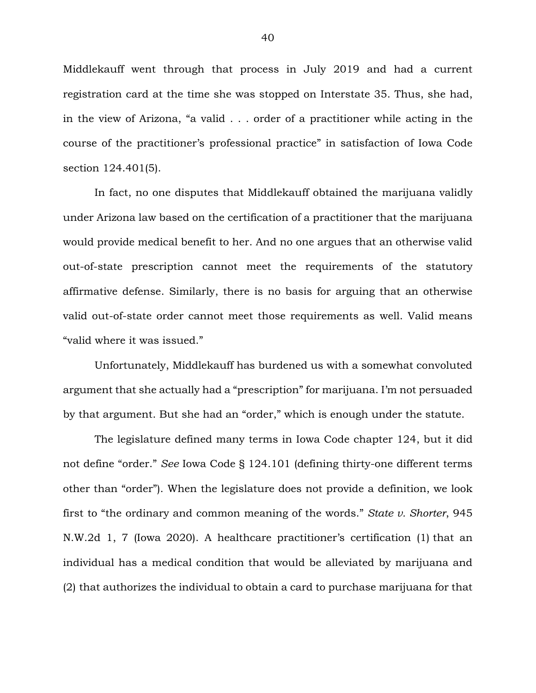Middlekauff went through that process in July 2019 and had a current registration card at the time she was stopped on Interstate 35. Thus, she had, in the view of Arizona, "a valid . . . order of a practitioner while acting in the course of the practitioner's professional practice" in satisfaction of Iowa Code section 124.401(5).

In fact, no one disputes that Middlekauff obtained the marijuana validly under Arizona law based on the certification of a practitioner that the marijuana would provide medical benefit to her. And no one argues that an otherwise valid out-of-state prescription cannot meet the requirements of the statutory affirmative defense. Similarly, there is no basis for arguing that an otherwise valid out-of-state order cannot meet those requirements as well. Valid means "valid where it was issued."

Unfortunately, Middlekauff has burdened us with a somewhat convoluted argument that she actually had a "prescription" for marijuana. I'm not persuaded by that argument. But she had an "order," which is enough under the statute.

The legislature defined many terms in Iowa Code chapter 124, but it did not define "order." *See* Iowa Code § 124.101 (defining thirty-one different terms other than "order"). When the legislature does not provide a definition, we look first to "the ordinary and common meaning of the words." *State v. Shorter*, 945 N.W.2d 1, 7 (Iowa 2020). A healthcare practitioner's certification (1) that an individual has a medical condition that would be alleviated by marijuana and (2) that authorizes the individual to obtain a card to purchase marijuana for that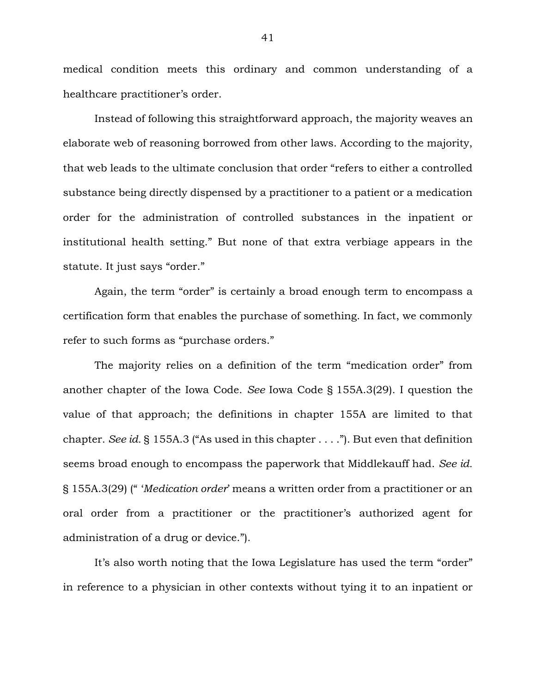medical condition meets this ordinary and common understanding of a healthcare practitioner's order.

Instead of following this straightforward approach, the majority weaves an elaborate web of reasoning borrowed from other laws. According to the majority, that web leads to the ultimate conclusion that order "refers to either a controlled substance being directly dispensed by a practitioner to a patient or a medication order for the administration of controlled substances in the inpatient or institutional health setting." But none of that extra verbiage appears in the statute. It just says "order."

Again, the term "order" is certainly a broad enough term to encompass a certification form that enables the purchase of something. In fact, we commonly refer to such forms as "purchase orders."

The majority relies on a definition of the term "medication order" from another chapter of the Iowa Code. *See* Iowa Code § 155A.3(29). I question the value of that approach; the definitions in chapter 155A are limited to that chapter. *See id.* § 155A.3 ("As used in this chapter . . . ."). But even that definition seems broad enough to encompass the paperwork that Middlekauff had. *See id.* § 155A.3(29) (" '*Medication order*' means a written order from a practitioner or an oral order from a practitioner or the practitioner's authorized agent for administration of a drug or device.").

It's also worth noting that the Iowa Legislature has used the term "order" in reference to a physician in other contexts without tying it to an inpatient or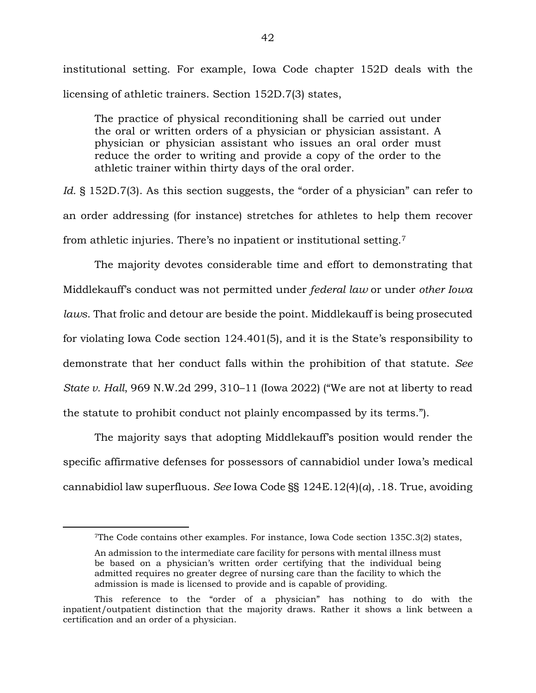institutional setting. For example, Iowa Code chapter 152D deals with the licensing of athletic trainers. Section 152D.7(3) states,

The practice of physical reconditioning shall be carried out under the oral or written orders of a physician or physician assistant. A physician or physician assistant who issues an oral order must reduce the order to writing and provide a copy of the order to the athletic trainer within thirty days of the oral order.

Id. § 152D.7(3). As this section suggests, the "order of a physician" can refer to an order addressing (for instance) stretches for athletes to help them recover from athletic injuries. There's no inpatient or institutional setting.<sup>7</sup>

The majority devotes considerable time and effort to demonstrating that Middlekauff's conduct was not permitted under *federal law* or under *other Iowa laws*. That frolic and detour are beside the point. Middlekauff is being prosecuted for violating Iowa Code section 124.401(5), and it is the State's responsibility to demonstrate that her conduct falls within the prohibition of that statute. *See State v. Hall*, 969 N.W.2d 299, 310–11 (Iowa 2022) ("We are not at liberty to read the statute to prohibit conduct not plainly encompassed by its terms.").

The majority says that adopting Middlekauff's position would render the specific affirmative defenses for possessors of cannabidiol under Iowa's medical cannabidiol law superfluous. *See* Iowa Code §§ 124E.12(4)(*a*), .18. True, avoiding

 $\overline{a}$ 

<sup>7</sup>The Code contains other examples. For instance, Iowa Code section 135C.3(2) states,

An admission to the intermediate care facility for persons with mental illness must be based on a physician's written order certifying that the individual being admitted requires no greater degree of nursing care than the facility to which the admission is made is licensed to provide and is capable of providing.

This reference to the "order of a physician" has nothing to do with the inpatient/outpatient distinction that the majority draws. Rather it shows a link between a certification and an order of a physician.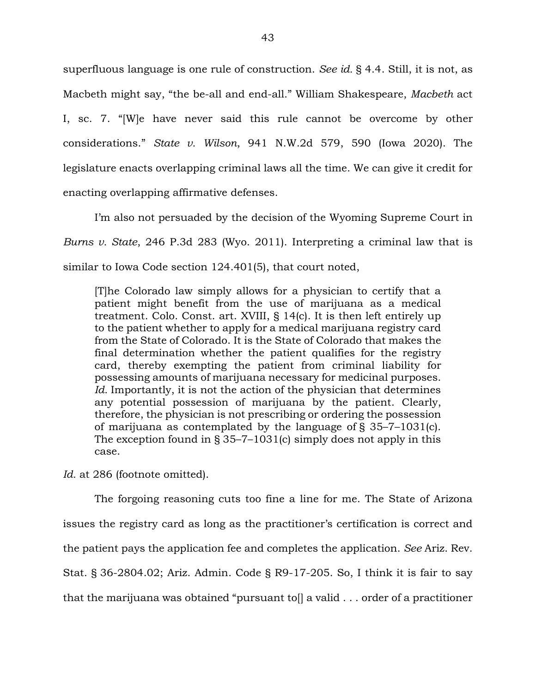superfluous language is one rule of construction. *See id.* § 4.4. Still, it is not, as Macbeth might say, "the be-all and end-all." William Shakespeare, *Macbeth* act I, sc. 7. "[W]e have never said this rule cannot be overcome by other considerations." *State v. Wilson*, 941 N.W.2d 579, 590 (Iowa 2020). The legislature enacts overlapping criminal laws all the time. We can give it credit for enacting overlapping affirmative defenses.

I'm also not persuaded by the decision of the Wyoming Supreme Court in *Burns v. State*, 246 P.3d 283 (Wyo. 2011). Interpreting a criminal law that is similar to Iowa Code section 124.401(5), that court noted,

[T]he Colorado law simply allows for a physician to certify that a patient might benefit from the use of marijuana as a medical treatment. Colo. Const. art. XVIII, § 14(c). It is then left entirely up to the patient whether to apply for a medical marijuana registry card from the State of Colorado. It is the State of Colorado that makes the final determination whether the patient qualifies for the registry card, thereby exempting the patient from criminal liability for possessing amounts of marijuana necessary for medicinal purposes. *Id.* Importantly, it is not the action of the physician that determines any potential possession of marijuana by the patient. Clearly, therefore, the physician is not prescribing or ordering the possession of marijuana as contemplated by the language of § 35–7–1031(c). The exception found in § 35–7–1031(c) simply does not apply in this case.

Id. at 286 (footnote omitted).

The forgoing reasoning cuts too fine a line for me. The State of Arizona issues the registry card as long as the practitioner's certification is correct and the patient pays the application fee and completes the application. *See* Ariz. Rev. Stat. § 36-2804.02; Ariz. Admin. Code § R9-17-205. So, I think it is fair to say that the marijuana was obtained "pursuant to[] a valid . . . order of a practitioner